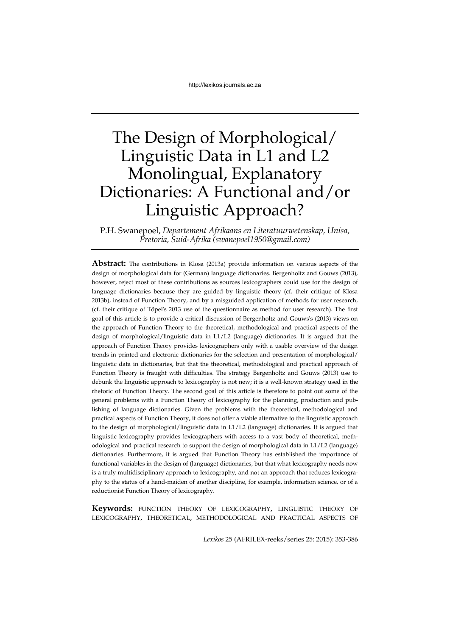# The Design of Morphological/ Linguistic Data in L1 and L2 Monolingual, Explanatory Dictionaries: A Functional and/or Linguistic Approach?

P.H. Swanepoel, *Departement Afrikaans en Literatuurwetenskap, Unisa, Pretoria, Suid-Afrika (swanepoel1950@gmail.com)*

**Abstract:** The contributions in Klosa (2013a) provide information on various aspects of the design of morphological data for (German) language dictionaries. Bergenholtz and Gouws (2013), however, reject most of these contributions as sources lexicographers could use for the design of language dictionaries because they are guided by linguistic theory (cf. their critique of Klosa 2013b), instead of Function Theory, and by a misguided application of methods for user research, (cf. their critique of Töpel's 2013 use of the questionnaire as method for user research). The first goal of this article is to provide a critical discussion of Bergenholtz and Gouws's (2013) views on the approach of Function Theory to the theoretical, methodological and practical aspects of the design of morphological/linguistic data in L1/L2 (language) dictionaries. It is argued that the approach of Function Theory provides lexicographers only with a usable overview of the design trends in printed and electronic dictionaries for the selection and presentation of morphological/ linguistic data in dictionaries, but that the theoretical, methodological and practical approach of Function Theory is fraught with difficulties. The strategy Bergenholtz and Gouws (2013) use to debunk the linguistic approach to lexicography is not new; it is a well-known strategy used in the rhetoric of Function Theory. The second goal of this article is therefore to point out some of the general problems with a Function Theory of lexicography for the planning, production and publishing of language dictionaries. Given the problems with the theoretical, methodological and practical aspects of Function Theory, it does not offer a viable alternative to the linguistic approach to the design of morphological/linguistic data in L1/L2 (language) dictionaries. It is argued that linguistic lexicography provides lexicographers with access to a vast body of theoretical, methodological and practical research to support the design of morphological data in L1/L2 (language) dictionaries. Furthermore, it is argued that Function Theory has established the importance of functional variables in the design of (language) dictionaries, but that what lexicography needs now is a truly multidisciplinary approach to lexicography, and not an approach that reduces lexicography to the status of a hand-maiden of another discipline, for example, information science, or of a reductionist Function Theory of lexicography.

**Keywords:** FUNCTION THEORY OF LEXICOGRAPHY, LINGUISTIC THEORY OF LEXICOGRAPHY, THEORETICAL, METHODOLOGICAL AND PRACTICAL ASPECTS OF

*Lexikos* 25 (AFRILEX-reeks/series 25: 2015): 353-386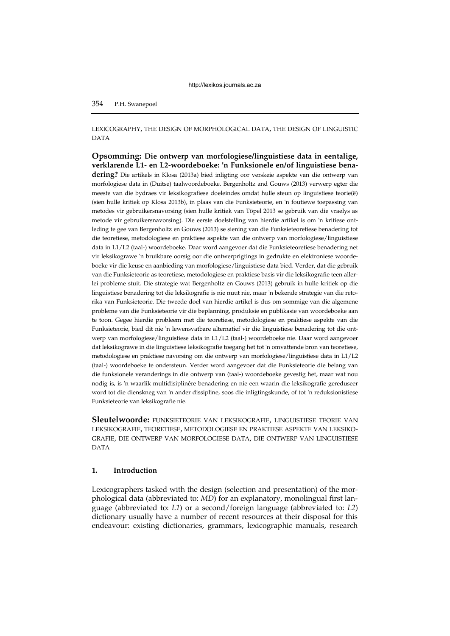# LEXICOGRAPHY, THE DESIGN OF MORPHOLOGICAL DATA, THE DESIGN OF LINGUISTIC DATA

**Opsomming: Die ontwerp van morfologiese/linguistiese data in eentalige, verklarende L1- en L2-woordeboeke: 'n Funksionele en/of linguistiese benadering?** Die artikels in Klosa (2013a) bied inligting oor verskeie aspekte van die ontwerp van morfologiese data in (Duitse) taalwoordeboeke. Bergenholtz and Gouws (2013) verwerp egter die meeste van die bydraes vir leksikografiese doeleindes omdat hulle steun op linguistiese teorie(ë) (sien hulle kritiek op Klosa 2013b), in plaas van die Funksieteorie, en 'n foutiewe toepassing van metodes vir gebruikersnavorsing (sien hulle kritiek van Töpel 2013 se gebruik van die vraelys as metode vir gebruikersnavorsing). Die eerste doelstelling van hierdie artikel is om 'n kritiese ontleding te gee van Bergenholtz en Gouws (2013) se siening van die Funksieteoretiese benadering tot die teoretiese, metodologiese en praktiese aspekte van die ontwerp van morfologiese/linguistiese data in L1/L2 (taal-) woordeboeke. Daar word aangevoer dat die Funksieteoretiese benadering net vir leksikograwe 'n bruikbare oorsig oor die ontwerprigtings in gedrukte en elektroniese woordeboeke vir die keuse en aanbieding van morfologiese/linguistiese data bied. Verder, dat die gebruik van die Funksieteorie as teoretiese, metodologiese en praktiese basis vir die leksikografie teen allerlei probleme stuit. Die strategie wat Bergenholtz en Gouws (2013) gebruik in hulle kritiek op die linguistiese benadering tot die leksikografie is nie nuut nie, maar 'n bekende strategie van die retorika van Funksieteorie. Die tweede doel van hierdie artikel is dus om sommige van die algemene probleme van die Funksieteorie vir die beplanning, produksie en publikasie van woordeboeke aan te toon. Gegee hierdie probleem met die teoretiese, metodologiese en praktiese aspekte van die Funksieteorie, bied dit nie 'n lewensvatbare alternatief vir die linguistiese benadering tot die ontwerp van morfologiese/linguistiese data in L1/L2 (taal-) woordeboeke nie. Daar word aangevoer dat leksikograwe in die linguistiese leksikografie toegang het tot 'n omvattende bron van teoretiese, metodologiese en praktiese navorsing om die ontwerp van morfologiese/linguistiese data in L1/L2 (taal-) woordeboeke te ondersteun. Verder word aangevoer dat die Funksieteorie die belang van die funksionele veranderings in die ontwerp van (taal-) woordeboeke gevestig het, maar wat nou nodig is, is 'n waarlik multidisiplinêre benadering en nie een waarin die leksikografie gereduseer word tot die dienskneg van 'n ander dissipline, soos die inligtingskunde, of tot 'n reduksionistiese Funksieteorie van leksikografie nie.

**Sleutelwoorde:** FUNKSIETEORIE VAN LEKSIKOGRAFIE, LINGUISTIESE TEORIE VAN LEKSIKOGRAFIE, TEORETIESE, METODOLOGIESE EN PRAKTIESE ASPEKTE VAN LEKSIKO-GRAFIE, DIE ONTWERP VAN MORFOLOGIESE DATA, DIE ONTWERP VAN LINGUISTIESE DATA

#### **1. Introduction**

Lexicographers tasked with the design (selection and presentation) of the morphological data (abbreviated to: *MD*) for an explanatory, monolingual first language (abbreviated to: *L1*) or a second/foreign language (abbreviated to: *L2*) dictionary usually have a number of recent resources at their disposal for this endeavour: existing dictionaries, grammars, lexicographic manuals, research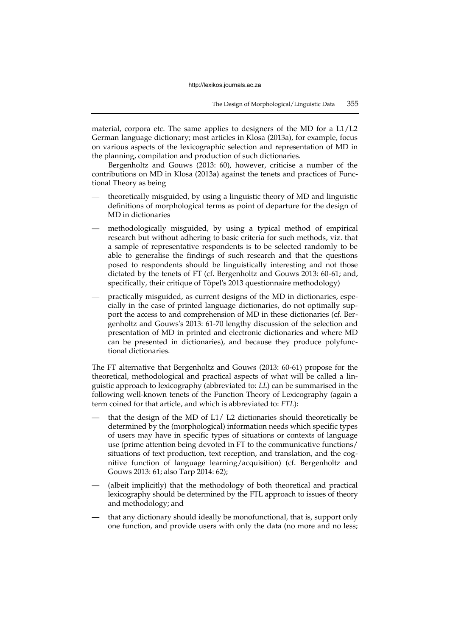material, corpora etc. The same applies to designers of the MD for a  $L1/L2$ German language dictionary; most articles in Klosa (2013a), for example, focus on various aspects of the lexicographic selection and representation of MD in the planning, compilation and production of such dictionaries.

Bergenholtz and Gouws (2013: 60), however, criticise a number of the contributions on MD in Klosa (2013a) against the tenets and practices of Functional Theory as being

- theoretically misguided, by using a linguistic theory of MD and linguistic definitions of morphological terms as point of departure for the design of MD in dictionaries
- methodologically misguided, by using a typical method of empirical research but without adhering to basic criteria for such methods, viz. that a sample of representative respondents is to be selected randomly to be able to generalise the findings of such research and that the questions posed to respondents should be linguistically interesting and not those dictated by the tenets of FT (cf. Bergenholtz and Gouws 2013: 60-61; and, specifically, their critique of Töpel's 2013 questionnaire methodology)
- practically misguided, as current designs of the MD in dictionaries, especially in the case of printed language dictionaries, do not optimally support the access to and comprehension of MD in these dictionaries (cf. Bergenholtz and Gouws's 2013: 61-70 lengthy discussion of the selection and presentation of MD in printed and electronic dictionaries and where MD can be presented in dictionaries), and because they produce polyfunctional dictionaries.

The FT alternative that Bergenholtz and Gouws (2013: 60-61) propose for the theoretical, methodological and practical aspects of what will be called a linguistic approach to lexicography (abbreviated to: *LL*) can be summarised in the following well-known tenets of the Function Theory of Lexicography (again a term coined for that article, and which is abbreviated to: *FTL*):

- that the design of the MD of  $L1/L2$  dictionaries should theoretically be determined by the (morphological) information needs which specific types of users may have in specific types of situations or contexts of language use (prime attention being devoted in FT to the communicative functions/ situations of text production, text reception, and translation, and the cognitive function of language learning/acquisition) (cf. Bergenholtz and Gouws 2013: 61; also Tarp 2014: 62);
- (albeit implicitly) that the methodology of both theoretical and practical lexicography should be determined by the FTL approach to issues of theory and methodology; and
- that any dictionary should ideally be monofunctional, that is, support only one function, and provide users with only the data (no more and no less;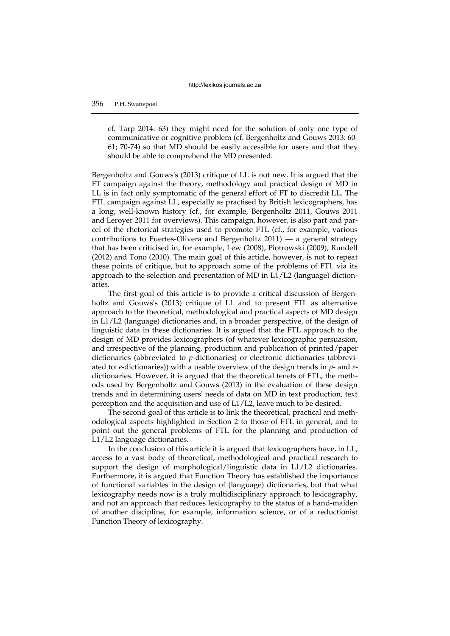cf. Tarp 2014: 63) they might need for the solution of only one type of communicative or cognitive problem (cf. Bergenholtz and Gouws 2013: 60- 61; 70-74) so that MD should be easily accessible for users and that they should be able to comprehend the MD presented.

Bergenholtz and Gouws's (2013) critique of LL is not new. It is argued that the FT campaign against the theory, methodology and practical design of MD in LL is in fact only symptomatic of the general effort of FT to discredit LL. The FTL campaign against LL, especially as practised by British lexicographers, has a long, well-known history (cf., for example, Bergenholtz 2011, Gouws 2011 and Leroyer 2011 for overviews). This campaign, however, is also part and parcel of the rhetorical strategies used to promote FTL (cf., for example, various contributions to Fuertes-Olivera and Bergenholtz 2011) — a general strategy that has been criticised in, for example, Lew (2008), Piotrowski (2009), Rundell (2012) and Tono (2010). The main goal of this article, however, is not to repeat these points of critique, but to approach some of the problems of FTL via its approach to the selection and presentation of MD in L1/L2 (language) dictionaries.

The first goal of this article is to provide a critical discussion of Bergenholtz and Gouws's (2013) critique of LL and to present FTL as alternative approach to the theoretical, methodological and practical aspects of MD design in L1/L2 (language) dictionaries and, in a broader perspective, of the design of linguistic data in these dictionaries. It is argued that the FTL approach to the design of MD provides lexicographers (of whatever lexicographic persuasion, and irrespective of the planning, production and publication of printed/paper dictionaries (abbreviated to *p*-dictionaries) or electronic dictionaries (abbreviated to: *e*-dictionaries)) with a usable overview of the design trends in *p*- and *e*dictionaries. However, it is argued that the theoretical tenets of FTL, the methods used by Bergenholtz and Gouws (2013) in the evaluation of these design trends and in determining users' needs of data on MD in text production, text perception and the acquisition and use of L1/L2, leave much to be desired.

The second goal of this article is to link the theoretical, practical and methodological aspects highlighted in Section 2 to those of FTL in general, and to point out the general problems of FTL for the planning and production of L1/L2 language dictionaries.

In the conclusion of this article it is argued that lexicographers have, in LL, access to a vast body of theoretical, methodological and practical research to support the design of morphological/linguistic data in L1/L2 dictionaries. Furthermore, it is argued that Function Theory has established the importance of functional variables in the design of (language) dictionaries, but that what lexicography needs now is a truly multidisciplinary approach to lexicography, and not an approach that reduces lexicography to the status of a hand-maiden of another discipline, for example, information science, or of a reductionist Function Theory of lexicography.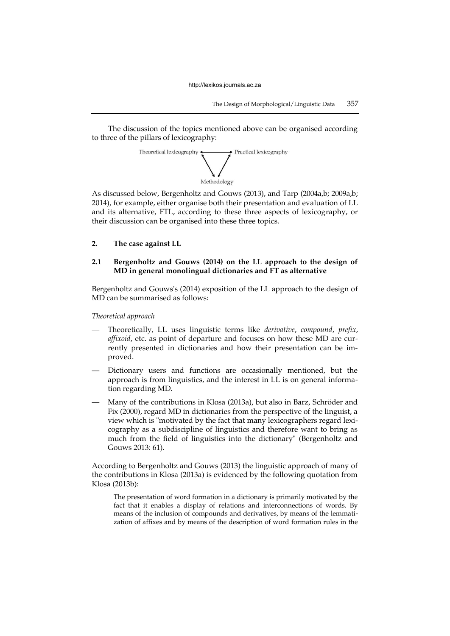The discussion of the topics mentioned above can be organised according to three of the pillars of lexicography:



As discussed below, Bergenholtz and Gouws (2013), and Tarp (2004a,b; 2009a,b; 2014), for example, either organise both their presentation and evaluation of LL and its alternative, FTL, according to these three aspects of lexicography, or their discussion can be organised into these three topics.

**2. The case against LL**

## **2.1 Bergenholtz and Gouws (2014) on the LL approach to the design of MD in general monolingual dictionaries and FT as alternative**

Bergenholtz and Gouws's (2014) exposition of the LL approach to the design of MD can be summarised as follows:

*Theoretical approach* 

- Theoretically, LL uses linguistic terms like *derivative*, *compound*, *prefix*, *affixoid*, etc. as point of departure and focuses on how these MD are currently presented in dictionaries and how their presentation can be improved.
- Dictionary users and functions are occasionally mentioned, but the approach is from linguistics, and the interest in LL is on general information regarding MD.
- Many of the contributions in Klosa (2013a), but also in Barz, Schröder and Fix (2000), regard MD in dictionaries from the perspective of the linguist, a view which is "motivated by the fact that many lexicographers regard lexicography as a subdiscipline of linguistics and therefore want to bring as much from the field of linguistics into the dictionary" (Bergenholtz and Gouws 2013: 61).

According to Bergenholtz and Gouws (2013) the linguistic approach of many of the contributions in Klosa (2013a) is evidenced by the following quotation from Klosa (2013b):

The presentation of word formation in a dictionary is primarily motivated by the fact that it enables a display of relations and interconnections of words. By means of the inclusion of compounds and derivatives, by means of the lemmatization of affixes and by means of the description of word formation rules in the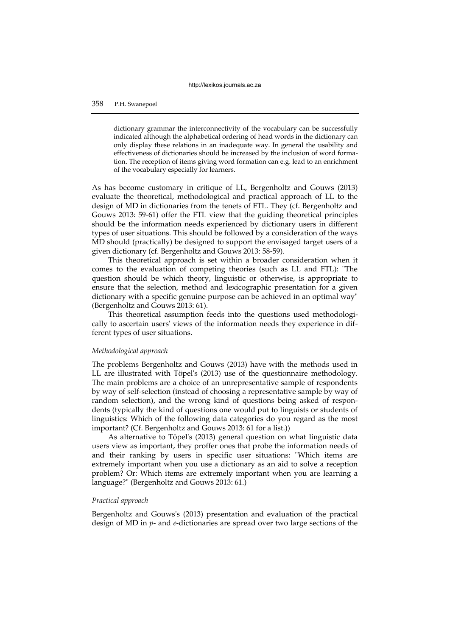dictionary grammar the interconnectivity of the vocabulary can be successfully indicated although the alphabetical ordering of head words in the dictionary can only display these relations in an inadequate way. In general the usability and effectiveness of dictionaries should be increased by the inclusion of word formation. The reception of items giving word formation can e.g. lead to an enrichment of the vocabulary especially for learners.

As has become customary in critique of LL, Bergenholtz and Gouws (2013) evaluate the theoretical, methodological and practical approach of LL to the design of MD in dictionaries from the tenets of FTL. They (cf. Bergenholtz and Gouws 2013: 59-61) offer the FTL view that the guiding theoretical principles should be the information needs experienced by dictionary users in different types of user situations. This should be followed by a consideration of the ways MD should (practically) be designed to support the envisaged target users of a given dictionary (cf. Bergenholtz and Gouws 2013: 58-59).

This theoretical approach is set within a broader consideration when it comes to the evaluation of competing theories (such as LL and FTL): "The question should be which theory, linguistic or otherwise, is appropriate to ensure that the selection, method and lexicographic presentation for a given dictionary with a specific genuine purpose can be achieved in an optimal way" (Bergenholtz and Gouws 2013: 61).

This theoretical assumption feeds into the questions used methodologically to ascertain users' views of the information needs they experience in different types of user situations.

# *Methodological approach*

The problems Bergenholtz and Gouws (2013) have with the methods used in LL are illustrated with Töpel's (2013) use of the questionnaire methodology. The main problems are a choice of an unrepresentative sample of respondents by way of self-selection (instead of choosing a representative sample by way of random selection), and the wrong kind of questions being asked of respondents (typically the kind of questions one would put to linguists or students of linguistics: Which of the following data categories do you regard as the most important? (Cf. Bergenholtz and Gouws 2013: 61 for a list.))

As alternative to Töpel's (2013) general question on what linguistic data users view as important, they proffer ones that probe the information needs of and their ranking by users in specific user situations: "Which items are extremely important when you use a dictionary as an aid to solve a reception problem? Or: Which items are extremely important when you are learning a language?" (Bergenholtz and Gouws 2013: 61.)

# *Practical approach*

Bergenholtz and Gouws's (2013) presentation and evaluation of the practical design of MD in *p*- and *e*-dictionaries are spread over two large sections of the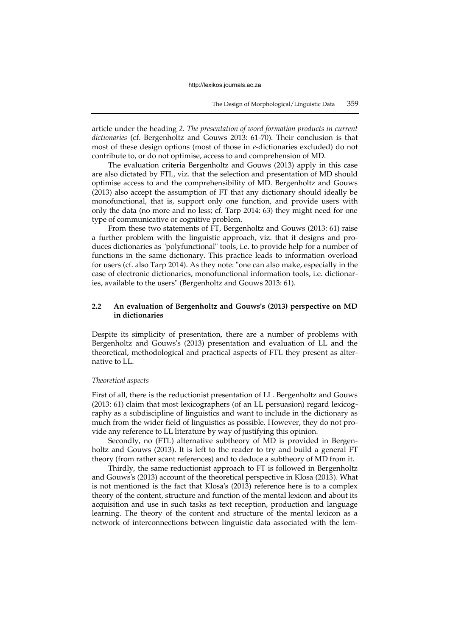article under the heading *2. The presentation of word formation products in current dictionaries* (cf. Bergenholtz and Gouws 2013: 61-70). Their conclusion is that most of these design options (most of those in *e*-dictionaries excluded) do not contribute to, or do not optimise, access to and comprehension of MD.

The evaluation criteria Bergenholtz and Gouws (2013) apply in this case are also dictated by FTL, viz. that the selection and presentation of MD should optimise access to and the comprehensibility of MD. Bergenholtz and Gouws (2013) also accept the assumption of FT that any dictionary should ideally be monofunctional, that is, support only one function, and provide users with only the data (no more and no less; cf. Tarp 2014: 63) they might need for one type of communicative or cognitive problem.

From these two statements of FT, Bergenholtz and Gouws (2013: 61) raise a further problem with the linguistic approach, viz. that it designs and produces dictionaries as "polyfunctional" tools, i.e. to provide help for a number of functions in the same dictionary. This practice leads to information overload for users (cf. also Tarp 2014). As they note: "one can also make, especially in the case of electronic dictionaries, monofunctional information tools, i.e. dictionaries, available to the users" (Bergenholtz and Gouws 2013: 61).

## **2.2 An evaluation of Bergenholtz and Gouws's (2013) perspective on MD in dictionaries**

Despite its simplicity of presentation, there are a number of problems with Bergenholtz and Gouws's (2013) presentation and evaluation of LL and the theoretical, methodological and practical aspects of FTL they present as alternative to LL.

#### *Theoretical aspects*

First of all, there is the reductionist presentation of LL. Bergenholtz and Gouws (2013: 61) claim that most lexicographers (of an LL persuasion) regard lexicography as a subdiscipline of linguistics and want to include in the dictionary as much from the wider field of linguistics as possible. However, they do not provide any reference to LL literature by way of justifying this opinion.

Secondly, no (FTL) alternative subtheory of MD is provided in Bergenholtz and Gouws (2013). It is left to the reader to try and build a general FT theory (from rather scant references) and to deduce a subtheory of MD from it.

Thirdly, the same reductionist approach to FT is followed in Bergenholtz and Gouws's (2013) account of the theoretical perspective in Klosa (2013). What is not mentioned is the fact that Klosa's (2013) reference here is to a complex theory of the content, structure and function of the mental lexicon and about its acquisition and use in such tasks as text reception, production and language learning. The theory of the content and structure of the mental lexicon as a network of interconnections between linguistic data associated with the lem-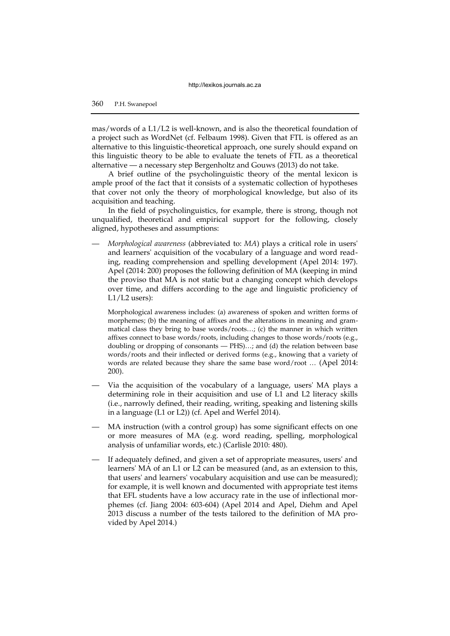mas/words of a L1/L2 is well-known, and is also the theoretical foundation of a project such as WordNet (cf. Felbaum 1998). Given that FTL is offered as an alternative to this linguistic-theoretical approach, one surely should expand on this linguistic theory to be able to evaluate the tenets of FTL as a theoretical alternative — a necessary step Bergenholtz and Gouws (2013) do not take.

A brief outline of the psycholinguistic theory of the mental lexicon is ample proof of the fact that it consists of a systematic collection of hypotheses that cover not only the theory of morphological knowledge, but also of its acquisition and teaching.

In the field of psycholinguistics, for example, there is strong, though not unqualified, theoretical and empirical support for the following, closely aligned, hypotheses and assumptions:

— *Morphological awareness* (abbreviated to: *MA*) plays a critical role in users' and learners' acquisition of the vocabulary of a language and word reading, reading comprehension and spelling development (Apel 2014: 197). Apel (2014: 200) proposes the following definition of MA (keeping in mind the proviso that MA is not static but a changing concept which develops over time, and differs according to the age and linguistic proficiency of  $L1/L2$  users):

Morphological awareness includes: (a) awareness of spoken and written forms of morphemes; (b) the meaning of affixes and the alterations in meaning and grammatical class they bring to base words/roots…; (c) the manner in which written affixes connect to base words/roots, including changes to those words/roots (e.g., doubling or dropping of consonants — PHS)…; and (d) the relation between base words/roots and their inflected or derived forms (e.g., knowing that a variety of words are related because they share the same base word/root … (Apel 2014: 200).

- Via the acquisition of the vocabulary of a language, users' MA plays a determining role in their acquisition and use of L1 and L2 literacy skills (i.e., narrowly defined, their reading, writing, speaking and listening skills in a language (L1 or L2)) (cf. Apel and Werfel 2014).
- MA instruction (with a control group) has some significant effects on one or more measures of MA (e.g. word reading, spelling, morphological analysis of unfamiliar words, etc.) (Carlisle 2010: 480).
- If adequately defined, and given a set of appropriate measures, users' and learners' MA of an L1 or L2 can be measured (and, as an extension to this, that users' and learners' vocabulary acquisition and use can be measured); for example, it is well known and documented with appropriate test items that EFL students have a low accuracy rate in the use of inflectional morphemes (cf. Jiang 2004: 603-604) (Apel 2014 and Apel, Diehm and Apel 2013 discuss a number of the tests tailored to the definition of MA provided by Apel 2014.)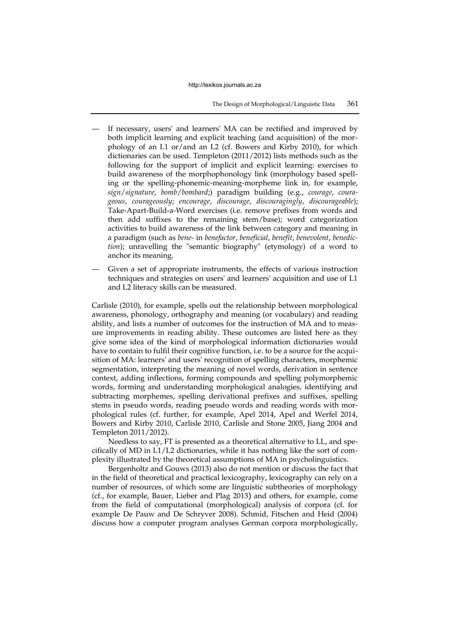- If necessary, users' and learners' MA can be rectified and improved by both implicit learning and explicit teaching (and acquisition) of the morphology of an L1 or/and an L2 (cf. Bowers and Kirby 2010), for which dictionaries can be used. Templeton (2011/2012) lists methods such as the following for the support of implicit and explicit learning: exercises to build awareness of the morphophonology link (morphology based spelling or the spelling-phonemic-meaning-morpheme link in, for example, *sign*/*signature*, *bomb*/*bombard*;) paradigm building (e.g., *courage*, *courageous*, *courageously*; *encourage*, *discourage*, *discouragingly*, *discourageable*); Take-Apart-Build-a-Word exercises (i.e. remove prefixes from words and then add suffixes to the remaining stem/base); word categorization activities to build awareness of the link between category and meaning in a paradigm (such as *bene*- in *benefactor*, *beneficial*, *benefit*, *benevolent*, *benediction*); unravelling the "semantic biography" (etymology) of a word to anchor its meaning.
- Given a set of appropriate instruments, the effects of various instruction techniques and strategies on users' and learners' acquisition and use of L1 and L2 literacy skills can be measured.

Carlisle (2010), for example, spells out the relationship between morphological awareness, phonology, orthography and meaning (or vocabulary) and reading ability, and lists a number of outcomes for the instruction of MA and to measure improvements in reading ability. These outcomes are listed here as they give some idea of the kind of morphological information dictionaries would have to contain to fulfil their cognitive function, i.e. to be a source for the acquisition of MA: learners' and users' recognition of spelling characters, morphemic segmentation, interpreting the meaning of novel words, derivation in sentence context, adding inflections, forming compounds and spelling polymorphemic words, forming and understanding morphological analogies, identifying and subtracting morphemes, spelling derivational prefixes and suffixes, spelling stems in pseudo words, reading pseudo words and reading words with morphological rules (cf. further, for example, Apel 2014, Apel and Werfel 2014, Bowers and Kirby 2010, Carlisle 2010, Carlisle and Stone 2005, Jiang 2004 and Templeton 2011/2012).

Needless to say, FT is presented as a theoretical alternative to LL, and specifically of MD in L1/L2 dictionaries, while it has nothing like the sort of complexity illustrated by the theoretical assumptions of MA in psycholinguistics.

Bergenholtz and Gouws (2013) also do not mention or discuss the fact that in the field of theoretical and practical lexicography, lexicography can rely on a number of resources, of which some are linguistic subtheories of morphology (cf., for example, Bauer, Lieber and Plag 2013) and others, for example, come from the field of computational (morphological) analysis of corpora (cf. for example De Pauw and De Schryver 2008). Schmid, Fitschen and Heid (2004) discuss how a computer program analyses German corpora morphologically,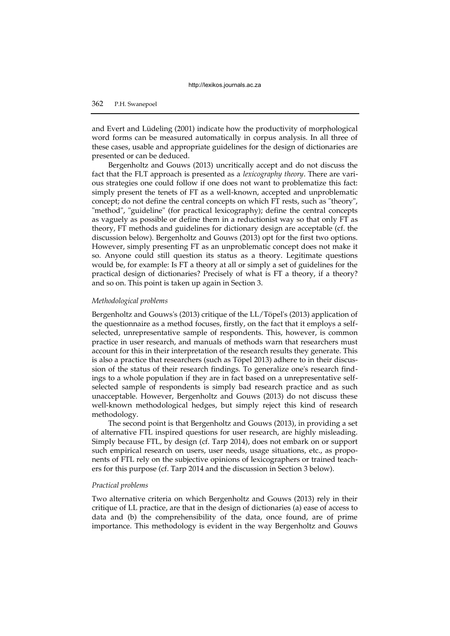and Evert and Lüdeling (2001) indicate how the productivity of morphological word forms can be measured automatically in corpus analysis. In all three of these cases, usable and appropriate guidelines for the design of dictionaries are presented or can be deduced.

Bergenholtz and Gouws (2013) uncritically accept and do not discuss the fact that the FLT approach is presented as a *lexicography theory*. There are various strategies one could follow if one does not want to problematize this fact: simply present the tenets of FT as a well-known, accepted and unproblematic concept; do not define the central concepts on which FT rests, such as "theory", "method", "guideline" (for practical lexicography); define the central concepts as vaguely as possible or define them in a reductionist way so that only FT as theory, FT methods and guidelines for dictionary design are acceptable (cf. the discussion below). Bergenholtz and Gouws (2013) opt for the first two options. However, simply presenting FT as an unproblematic concept does not make it so. Anyone could still question its status as a theory. Legitimate questions would be, for example: Is FT a theory at all or simply a set of guidelines for the practical design of dictionaries? Precisely of what is FT a theory, if a theory? and so on. This point is taken up again in Section 3.

# *Methodological problems*

Bergenholtz and Gouws's (2013) critique of the LL/Töpel's (2013) application of the questionnaire as a method focuses, firstly, on the fact that it employs a selfselected, unrepresentative sample of respondents. This, however, is common practice in user research, and manuals of methods warn that researchers must account for this in their interpretation of the research results they generate. This is also a practice that researchers (such as Töpel 2013) adhere to in their discussion of the status of their research findings. To generalize one's research findings to a whole population if they are in fact based on a unrepresentative selfselected sample of respondents is simply bad research practice and as such unacceptable. However, Bergenholtz and Gouws (2013) do not discuss these well-known methodological hedges, but simply reject this kind of research methodology.

The second point is that Bergenholtz and Gouws (2013), in providing a set of alternative FTL inspired questions for user research, are highly misleading. Simply because FTL, by design (cf. Tarp 2014), does not embark on or support such empirical research on users, user needs, usage situations, etc., as proponents of FTL rely on the subjective opinions of lexicographers or trained teachers for this purpose (cf. Tarp 2014 and the discussion in Section 3 below).

#### *Practical problems*

Two alternative criteria on which Bergenholtz and Gouws (2013) rely in their critique of LL practice, are that in the design of dictionaries (a) ease of access to data and (b) the comprehensibility of the data, once found, are of prime importance. This methodology is evident in the way Bergenholtz and Gouws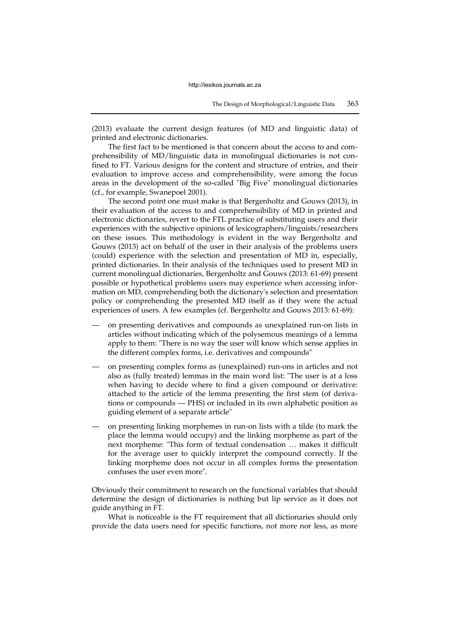(2013) evaluate the current design features (of MD and linguistic data) of printed and electronic dictionaries.

The first fact to be mentioned is that concern about the access to and comprehensibility of MD/linguistic data in monolingual dictionaries is not confined to FT. Various designs for the content and structure of entries, and their evaluation to improve access and comprehensibility, were among the focus areas in the development of the so-called "Big Five" monolingual dictionaries (cf., for example, Swanepoel 2001).

The second point one must make is that Bergenholtz and Gouws (2013), in their evaluation of the access to and comprehensibility of MD in printed and electronic dictionaries, revert to the FTL practice of substituting users and their experiences with the subjective opinions of lexicographers/linguists/researchers on these issues. This methodology is evident in the way Bergenholtz and Gouws (2013) act on behalf of the user in their analysis of the problems users (could) experience with the selection and presentation of MD in, especially, printed dictionaries. In their analysis of the techniques used to present MD in current monolingual dictionaries, Bergenholtz and Gouws (2013: 61-69) present possible or hypothetical problems users may experience when accessing information on MD, comprehending both the dictionary's selection and presentation policy or comprehending the presented MD itself as if they were the actual experiences of users. A few examples (cf. Bergenholtz and Gouws 2013: 61-69):

- on presenting derivatives and compounds as unexplained run-on lists in articles without indicating which of the polysemous meanings of a lemma apply to them: "There is no way the user will know which sense applies in the different complex forms, i.e. derivatives and compounds"
- on presenting complex forms as (unexplained) run-ons in articles and not also as (fully treated) lemmas in the main word list: "The user is at a loss when having to decide where to find a given compound or derivative: attached to the article of the lemma presenting the first stem (of derivations or compounds — PHS) or included in its own alphabetic position as guiding element of a separate article"
- on presenting linking morphemes in run-on lists with a tilde (to mark the place the lemma would occupy) and the linking morpheme as part of the next morpheme: "This form of textual condensation … makes it difficult for the average user to quickly interpret the compound correctly. If the linking morpheme does not occur in all complex forms the presentation confuses the user even more".

Obviously their commitment to research on the functional variables that should determine the design of dictionaries is nothing but lip service as it does not guide anything in FT.

What is noticeable is the FT requirement that all dictionaries should only provide the data users need for specific functions, not more nor less, as more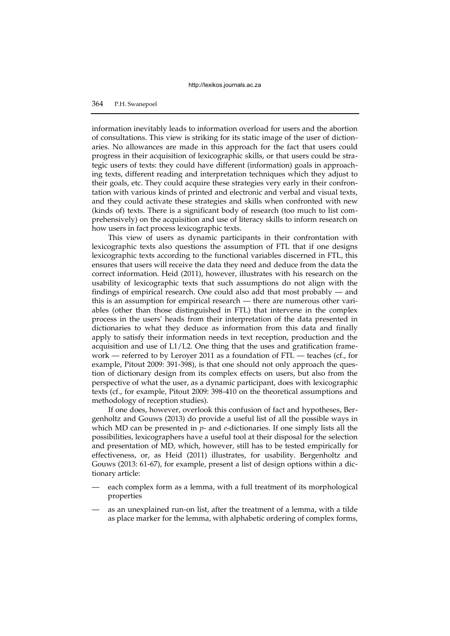## 364 P.H. Swanepoel

information inevitably leads to information overload for users and the abortion of consultations. This view is striking for its static image of the user of dictionaries. No allowances are made in this approach for the fact that users could progress in their acquisition of lexicographic skills, or that users could be strategic users of texts: they could have different (information) goals in approaching texts, different reading and interpretation techniques which they adjust to their goals, etc. They could acquire these strategies very early in their confrontation with various kinds of printed and electronic and verbal and visual texts, and they could activate these strategies and skills when confronted with new (kinds of) texts. There is a significant body of research (too much to list comprehensively) on the acquisition and use of literacy skills to inform research on how users in fact process lexicographic texts.

This view of users as dynamic participants in their confrontation with lexicographic texts also questions the assumption of FTL that if one designs lexicographic texts according to the functional variables discerned in FTL, this ensures that users will receive the data they need and deduce from the data the correct information. Heid (2011), however, illustrates with his research on the usability of lexicographic texts that such assumptions do not align with the findings of empirical research. One could also add that most probably — and this is an assumption for empirical research — there are numerous other variables (other than those distinguished in FTL) that intervene in the complex process in the users' heads from their interpretation of the data presented in dictionaries to what they deduce as information from this data and finally apply to satisfy their information needs in text reception, production and the acquisition and use of L1/L2. One thing that the uses and gratification framework — referred to by Leroyer 2011 as a foundation of FTL — teaches (cf., for example, Pitout 2009: 391-398), is that one should not only approach the question of dictionary design from its complex effects on users, but also from the perspective of what the user, as a dynamic participant, does with lexicographic texts (cf., for example, Pitout 2009: 398-410 on the theoretical assumptions and methodology of reception studies).

If one does, however, overlook this confusion of fact and hypotheses, Bergenholtz and Gouws (2013) do provide a useful list of all the possible ways in which MD can be presented in *p*- and *e*-dictionaries. If one simply lists all the possibilities, lexicographers have a useful tool at their disposal for the selection and presentation of MD, which, however, still has to be tested empirically for effectiveness, or, as Heid (2011) illustrates, for usability. Bergenholtz and Gouws (2013: 61-67), for example, present a list of design options within a dictionary article:

- each complex form as a lemma, with a full treatment of its morphological properties
- as an unexplained run-on list, after the treatment of a lemma, with a tilde as place marker for the lemma, with alphabetic ordering of complex forms,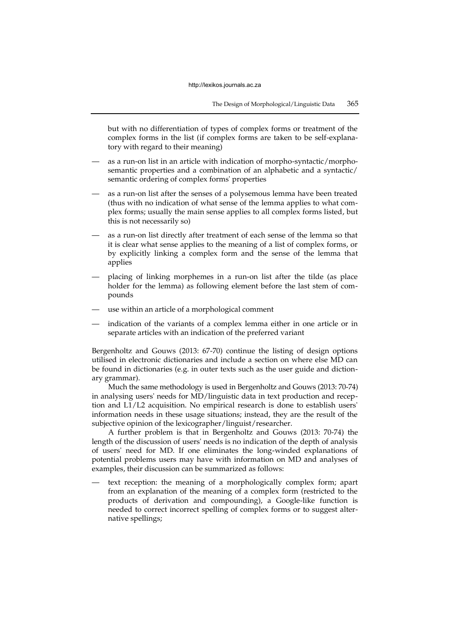but with no differentiation of types of complex forms or treatment of the complex forms in the list (if complex forms are taken to be self-explanatory with regard to their meaning)

- as a run-on list in an article with indication of morpho-syntactic/morphosemantic properties and a combination of an alphabetic and a syntactic/ semantic ordering of complex forms' properties
- as a run-on list after the senses of a polysemous lemma have been treated (thus with no indication of what sense of the lemma applies to what complex forms; usually the main sense applies to all complex forms listed, but this is not necessarily so)
- as a run-on list directly after treatment of each sense of the lemma so that it is clear what sense applies to the meaning of a list of complex forms, or by explicitly linking a complex form and the sense of the lemma that applies
- placing of linking morphemes in a run-on list after the tilde (as place holder for the lemma) as following element before the last stem of compounds
- use within an article of a morphological comment
- indication of the variants of a complex lemma either in one article or in separate articles with an indication of the preferred variant

Bergenholtz and Gouws (2013: 67-70) continue the listing of design options utilised in electronic dictionaries and include a section on where else MD can be found in dictionaries (e.g. in outer texts such as the user guide and dictionary grammar).

Much the same methodology is used in Bergenholtz and Gouws (2013: 70-74) in analysing users' needs for MD/linguistic data in text production and reception and L1/L2 acquisition. No empirical research is done to establish users' information needs in these usage situations; instead, they are the result of the subjective opinion of the lexicographer/linguist/researcher.

A further problem is that in Bergenholtz and Gouws (2013: 70-74) the length of the discussion of users' needs is no indication of the depth of analysis of users' need for MD. If one eliminates the long-winded explanations of potential problems users may have with information on MD and analyses of examples, their discussion can be summarized as follows:

text reception: the meaning of a morphologically complex form; apart from an explanation of the meaning of a complex form (restricted to the products of derivation and compounding), a Google-like function is needed to correct incorrect spelling of complex forms or to suggest alternative spellings;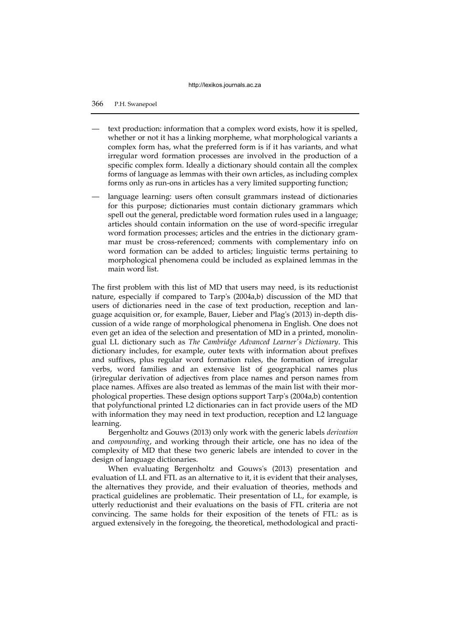- text production: information that a complex word exists, how it is spelled, whether or not it has a linking morpheme, what morphological variants a complex form has, what the preferred form is if it has variants, and what irregular word formation processes are involved in the production of a specific complex form. Ideally a dictionary should contain all the complex forms of language as lemmas with their own articles, as including complex forms only as run-ons in articles has a very limited supporting function;
- language learning: users often consult grammars instead of dictionaries for this purpose; dictionaries must contain dictionary grammars which spell out the general, predictable word formation rules used in a language; articles should contain information on the use of word-specific irregular word formation processes; articles and the entries in the dictionary grammar must be cross-referenced; comments with complementary info on word formation can be added to articles; linguistic terms pertaining to morphological phenomena could be included as explained lemmas in the main word list.

The first problem with this list of MD that users may need, is its reductionist nature, especially if compared to Tarp's (2004a,b) discussion of the MD that users of dictionaries need in the case of text production, reception and language acquisition or, for example, Bauer, Lieber and Plag's (2013) in-depth discussion of a wide range of morphological phenomena in English. One does not even get an idea of the selection and presentation of MD in a printed, monolingual LL dictionary such as *The Cambridge Advanced Learner's Dictionary*. This dictionary includes, for example, outer texts with information about prefixes and suffixes, plus regular word formation rules, the formation of irregular verbs, word families and an extensive list of geographical names plus (ir)regular derivation of adjectives from place names and person names from place names. Affixes are also treated as lemmas of the main list with their morphological properties. These design options support Tarp's (2004a,b) contention that polyfunctional printed L2 dictionaries can in fact provide users of the MD with information they may need in text production, reception and L2 language learning.

Bergenholtz and Gouws (2013) only work with the generic labels *derivation* and *compounding*, and working through their article, one has no idea of the complexity of MD that these two generic labels are intended to cover in the design of language dictionaries.

When evaluating Bergenholtz and Gouws's (2013) presentation and evaluation of LL and FTL as an alternative to it, it is evident that their analyses, the alternatives they provide, and their evaluation of theories, methods and practical guidelines are problematic. Their presentation of LL, for example, is utterly reductionist and their evaluations on the basis of FTL criteria are not convincing. The same holds for their exposition of the tenets of FTL: as is argued extensively in the foregoing, the theoretical, methodological and practi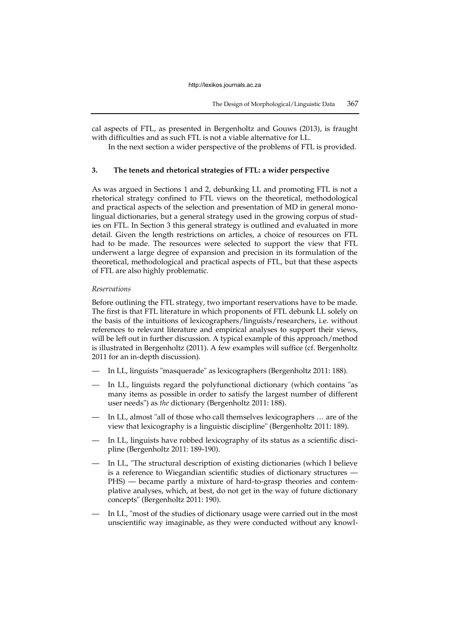cal aspects of FTL, as presented in Bergenholtz and Gouws (2013), is fraught with difficulties and as such FTL is not a viable alternative for LL.

In the next section a wider perspective of the problems of FTL is provided.

# **3. The tenets and rhetorical strategies of FTL: a wider perspective**

As was argued in Sections 1 and 2, debunking LL and promoting FTL is not a rhetorical strategy confined to FTL views on the theoretical, methodological and practical aspects of the selection and presentation of MD in general monolingual dictionaries, but a general strategy used in the growing corpus of studies on FTL. In Section 3 this general strategy is outlined and evaluated in more detail. Given the length restrictions on articles, a choice of resources on FTL had to be made. The resources were selected to support the view that FTL underwent a large degree of expansion and precision in its formulation of the theoretical, methodological and practical aspects of FTL, but that these aspects of FTL are also highly problematic.

#### *Reservations*

Before outlining the FTL strategy, two important reservations have to be made. The first is that FTL literature in which proponents of FTL debunk LL solely on the basis of the intuitions of lexicographers/linguists/researchers, i.e. without references to relevant literature and empirical analyses to support their views, will be left out in further discussion. A typical example of this approach/method is illustrated in Bergenholtz (2011). A few examples will suffice (cf. Bergenholtz 2011 for an in-depth discussion).

- In LL, linguists "masquerade" as lexicographers (Bergenholtz 2011: 188).
- In LL, linguists regard the polyfunctional dictionary (which contains "as many items as possible in order to satisfy the largest number of different user needs") as *the* dictionary (Bergenholtz 2011: 188).
- In LL, almost "all of those who call themselves lexicographers ... are of the view that lexicography is a linguistic discipline" (Bergenholtz 2011: 189).
- In LL, linguists have robbed lexicography of its status as a scientific discipline (Bergenholtz 2011: 189-190).
- In LL, "The structural description of existing dictionaries (which I believe is a reference to Wiegandian scientific studies of dictionary structures — PHS) — became partly a mixture of hard-to-grasp theories and contemplative analyses, which, at best, do not get in the way of future dictionary concepts" (Bergenholtz 2011: 190).
- In LL, "most of the studies of dictionary usage were carried out in the most unscientific way imaginable, as they were conducted without any knowl-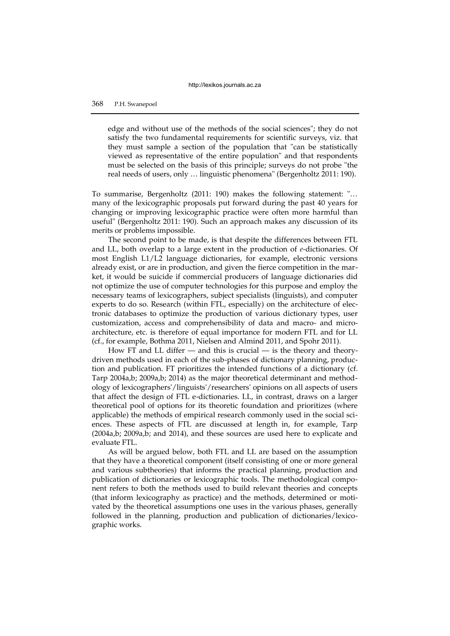edge and without use of the methods of the social sciences"; they do not satisfy the two fundamental requirements for scientific surveys, viz. that they must sample a section of the population that "can be statistically viewed as representative of the entire population" and that respondents must be selected on the basis of this principle; surveys do not probe "the real needs of users, only … linguistic phenomena" (Bergenholtz 2011: 190).

To summarise, Bergenholtz (2011: 190) makes the following statement: "… many of the lexicographic proposals put forward during the past 40 years for changing or improving lexicographic practice were often more harmful than useful" (Bergenholtz 2011: 190). Such an approach makes any discussion of its merits or problems impossible.

The second point to be made, is that despite the differences between FTL and LL, both overlap to a large extent in the production of *e*-dictionaries. Of most English L1/L2 language dictionaries, for example, electronic versions already exist, or are in production, and given the fierce competition in the market, it would be suicide if commercial producers of language dictionaries did not optimize the use of computer technologies for this purpose and employ the necessary teams of lexicographers, subject specialists (linguists), and computer experts to do so. Research (within FTL, especially) on the architecture of electronic databases to optimize the production of various dictionary types, user customization, access and comprehensibility of data and macro- and microarchitecture, etc. is therefore of equal importance for modern FTL and for LL (cf., for example, Bothma 2011, Nielsen and Almind 2011, and Spohr 2011).

How FT and LL differ — and this is crucial — is the theory and theorydriven methods used in each of the sub-phases of dictionary planning, production and publication. FT prioritizes the intended functions of a dictionary (cf. Tarp 2004a,b; 2009a,b; 2014) as the major theoretical determinant and methodology of lexicographers'/linguists'/researchers' opinions on all aspects of users that affect the design of FTL e-dictionaries. LL, in contrast, draws on a larger theoretical pool of options for its theoretic foundation and prioritizes (where applicable) the methods of empirical research commonly used in the social sciences. These aspects of FTL are discussed at length in, for example, Tarp (2004a,b; 2009a,b; and 2014), and these sources are used here to explicate and evaluate FTL.

As will be argued below, both FTL and LL are based on the assumption that they have a theoretical component (itself consisting of one or more general and various subtheories) that informs the practical planning, production and publication of dictionaries or lexicographic tools. The methodological component refers to both the methods used to build relevant theories and concepts (that inform lexicography as practice) and the methods, determined or motivated by the theoretical assumptions one uses in the various phases, generally followed in the planning, production and publication of dictionaries/lexicographic works.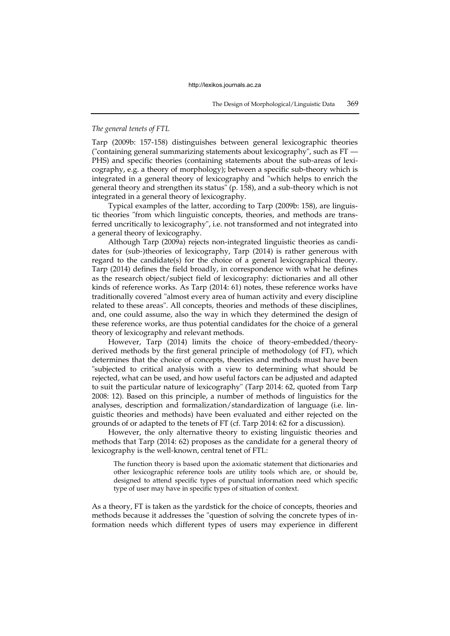## *The general tenets of FTL*

Tarp (2009b: 157-158) distinguishes between general lexicographic theories ("containing general summarizing statements about lexicography", such as FT — PHS) and specific theories (containing statements about the sub-areas of lexicography, e.g. a theory of morphology); between a specific sub-theory which is integrated in a general theory of lexicography and "which helps to enrich the general theory and strengthen its status" (p. 158), and a sub-theory which is not integrated in a general theory of lexicography.

Typical examples of the latter, according to Tarp (2009b: 158), are linguistic theories "from which linguistic concepts, theories, and methods are transferred uncritically to lexicography", i.e. not transformed and not integrated into a general theory of lexicography.

Although Tarp (2009a) rejects non-integrated linguistic theories as candidates for (sub-)theories of lexicography, Tarp (2014) is rather generous with regard to the candidate(s) for the choice of a general lexicographical theory. Tarp (2014) defines the field broadly, in correspondence with what he defines as the research object/subject field of lexicography: dictionaries and all other kinds of reference works. As Tarp (2014: 61) notes, these reference works have traditionally covered "almost every area of human activity and every discipline related to these areas". All concepts, theories and methods of these disciplines, and, one could assume, also the way in which they determined the design of these reference works, are thus potential candidates for the choice of a general theory of lexicography and relevant methods.

However, Tarp (2014) limits the choice of theory-embedded/theoryderived methods by the first general principle of methodology (of FT), which determines that the choice of concepts, theories and methods must have been "subjected to critical analysis with a view to determining what should be rejected, what can be used, and how useful factors can be adjusted and adapted to suit the particular nature of lexicography" (Tarp 2014: 62, quoted from Tarp 2008: 12). Based on this principle, a number of methods of linguistics for the analyses, description and formalization/standardization of language (i.e. linguistic theories and methods) have been evaluated and either rejected on the grounds of or adapted to the tenets of FT (cf. Tarp 2014: 62 for a discussion).

However, the only alternative theory to existing linguistic theories and methods that Tarp (2014: 62) proposes as the candidate for a general theory of lexicography is the well-known, central tenet of FTL:

The function theory is based upon the axiomatic statement that dictionaries and other lexicographic reference tools are utility tools which are, or should be, designed to attend specific types of punctual information need which specific type of user may have in specific types of situation of context.

As a theory, FT is taken as the yardstick for the choice of concepts, theories and methods because it addresses the "question of solving the concrete types of information needs which different types of users may experience in different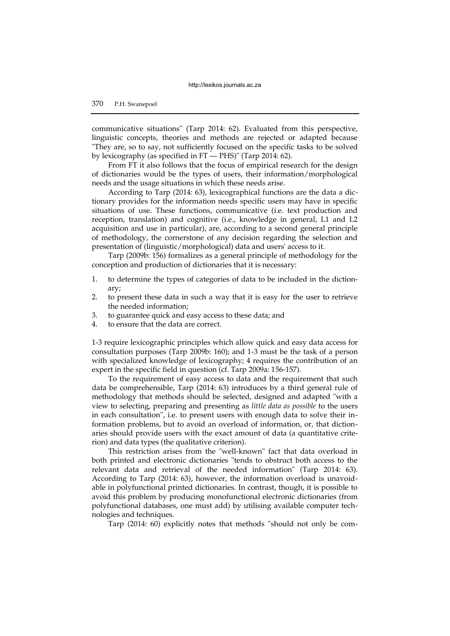communicative situations" (Tarp 2014: 62). Evaluated from this perspective, linguistic concepts, theories and methods are rejected or adapted because "They are, so to say, not sufficiently focused on the specific tasks to be solved by lexicography (as specified in FT — PHS)" (Tarp 2014: 62).

From FT it also follows that the focus of empirical research for the design of dictionaries would be the types of users, their information/morphological needs and the usage situations in which these needs arise.

According to Tarp (2014: 63), lexicographical functions are the data a dictionary provides for the information needs specific users may have in specific situations of use. These functions, communicative (i.e. text production and reception, translation) and cognitive (i.e., knowledge in general, L1 and L2 acquisition and use in particular), are, according to a second general principle of methodology, the cornerstone of any decision regarding the selection and presentation of (linguistic/morphological) data and users' access to it.

Tarp (2009b: 156) formalizes as a general principle of methodology for the conception and production of dictionaries that it is necessary:

- 1. to determine the types of categories of data to be included in the dictionary;
- 2. to present these data in such a way that it is easy for the user to retrieve the needed information;
- 3. to guarantee quick and easy access to these data; and
- 4. to ensure that the data are correct.

1-3 require lexicographic principles which allow quick and easy data access for consultation purposes (Tarp 2009b: 160); and 1-3 must be the task of a person with specialized knowledge of lexicography; 4 requires the contribution of an expert in the specific field in question (cf. Tarp 2009a: 156-157).

To the requirement of easy access to data and the requirement that such data be comprehensible, Tarp (2014: 63) introduces by a third general rule of methodology that methods should be selected, designed and adapted "with a view to selecting, preparing and presenting as *little data as possible* to the users in each consultation", i.e. to present users with enough data to solve their information problems, but to avoid an overload of information, or, that dictionaries should provide users with the exact amount of data (a quantitative criterion) and data types (the qualitative criterion).

This restriction arises from the "well-known" fact that data overload in both printed and electronic dictionaries "tends to obstruct both access to the relevant data and retrieval of the needed information" (Tarp 2014: 63). According to Tarp (2014: 63), however, the information overload is unavoidable in polyfunctional printed dictionaries. In contrast, though, it is possible to avoid this problem by producing monofunctional electronic dictionaries (from polyfunctional databases, one must add) by utilising available computer technologies and techniques.

Tarp (2014: 60) explicitly notes that methods "should not only be com-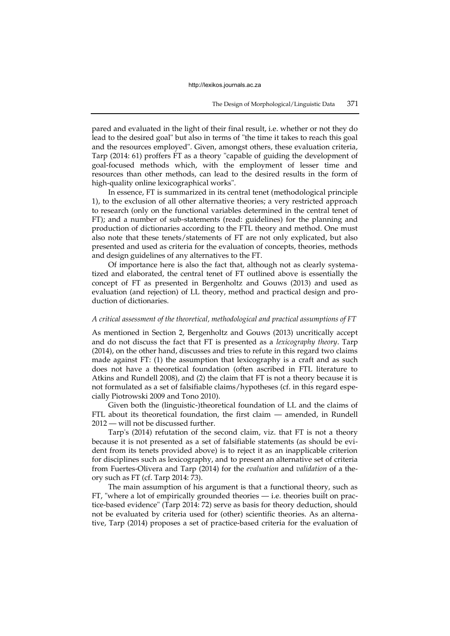pared and evaluated in the light of their final result, i.e. whether or not they do lead to the desired goal" but also in terms of "the time it takes to reach this goal and the resources employed". Given, amongst others, these evaluation criteria, Tarp (2014: 61) proffers FT as a theory "capable of guiding the development of goal-focused methods which, with the employment of lesser time and resources than other methods, can lead to the desired results in the form of high-quality online lexicographical works".

In essence, FT is summarized in its central tenet (methodological principle 1), to the exclusion of all other alternative theories; a very restricted approach to research (only on the functional variables determined in the central tenet of FT); and a number of sub-statements (read: guidelines) for the planning and production of dictionaries according to the FTL theory and method. One must also note that these tenets/statements of FT are not only explicated, but also presented and used as criteria for the evaluation of concepts, theories, methods and design guidelines of any alternatives to the FT.

Of importance here is also the fact that, although not as clearly systematized and elaborated, the central tenet of FT outlined above is essentially the concept of FT as presented in Bergenholtz and Gouws (2013) and used as evaluation (and rejection) of LL theory, method and practical design and production of dictionaries.

## *A critical assessment of the theoretical, methodological and practical assumptions of FT*

As mentioned in Section 2, Bergenholtz and Gouws (2013) uncritically accept and do not discuss the fact that FT is presented as a *lexicography theory*. Tarp (2014), on the other hand, discusses and tries to refute in this regard two claims made against FT: (1) the assumption that lexicography is a craft and as such does not have a theoretical foundation (often ascribed in FTL literature to Atkins and Rundell 2008), and (2) the claim that FT is not a theory because it is not formulated as a set of falsifiable claims/hypotheses (cf. in this regard especially Piotrowski 2009 and Tono 2010).

Given both the (linguistic-)theoretical foundation of LL and the claims of FTL about its theoretical foundation, the first claim — amended, in Rundell 2012 — will not be discussed further.

Tarp's (2014) refutation of the second claim, viz. that FT is not a theory because it is not presented as a set of falsifiable statements (as should be evident from its tenets provided above) is to reject it as an inapplicable criterion for disciplines such as lexicography, and to present an alternative set of criteria from Fuertes-Olivera and Tarp (2014) for the *evaluation* and *validation* of a theory such as FT (cf. Tarp 2014: 73).

The main assumption of his argument is that a functional theory, such as FT, "where a lot of empirically grounded theories — i.e. theories built on practice-based evidence" (Tarp 2014: 72) serve as basis for theory deduction, should not be evaluated by criteria used for (other) scientific theories. As an alternative, Tarp (2014) proposes a set of practice-based criteria for the evaluation of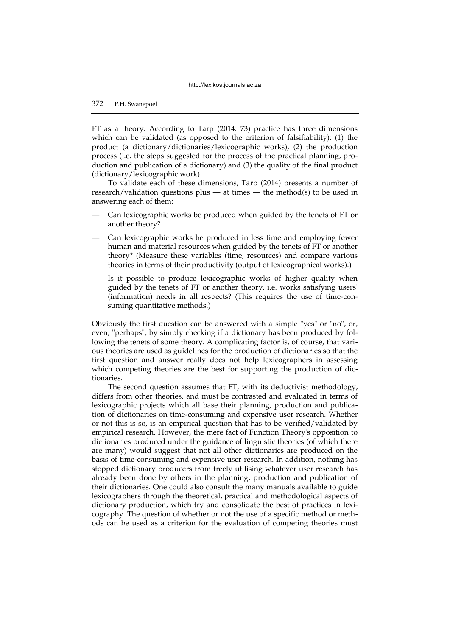FT as a theory. According to Tarp (2014: 73) practice has three dimensions which can be validated (as opposed to the criterion of falsifiability): (1) the product (a dictionary/dictionaries/lexicographic works), (2) the production process (i.e. the steps suggested for the process of the practical planning, production and publication of a dictionary) and (3) the quality of the final product (dictionary/lexicographic work).

To validate each of these dimensions, Tarp (2014) presents a number of research/validation questions plus — at times — the method(s) to be used in answering each of them:

- Can lexicographic works be produced when guided by the tenets of FT or another theory?
- Can lexicographic works be produced in less time and employing fewer human and material resources when guided by the tenets of FT or another theory? (Measure these variables (time, resources) and compare various theories in terms of their productivity (output of lexicographical works).)
- Is it possible to produce lexicographic works of higher quality when guided by the tenets of FT or another theory, i.e. works satisfying users' (information) needs in all respects? (This requires the use of time-consuming quantitative methods.)

Obviously the first question can be answered with a simple "yes" or "no", or, even, "perhaps", by simply checking if a dictionary has been produced by following the tenets of some theory. A complicating factor is, of course, that various theories are used as guidelines for the production of dictionaries so that the first question and answer really does not help lexicographers in assessing which competing theories are the best for supporting the production of dictionaries.

The second question assumes that FT, with its deductivist methodology, differs from other theories, and must be contrasted and evaluated in terms of lexicographic projects which all base their planning, production and publication of dictionaries on time-consuming and expensive user research. Whether or not this is so, is an empirical question that has to be verified/validated by empirical research. However, the mere fact of Function Theory's opposition to dictionaries produced under the guidance of linguistic theories (of which there are many) would suggest that not all other dictionaries are produced on the basis of time-consuming and expensive user research. In addition, nothing has stopped dictionary producers from freely utilising whatever user research has already been done by others in the planning, production and publication of their dictionaries. One could also consult the many manuals available to guide lexicographers through the theoretical, practical and methodological aspects of dictionary production, which try and consolidate the best of practices in lexicography. The question of whether or not the use of a specific method or methods can be used as a criterion for the evaluation of competing theories must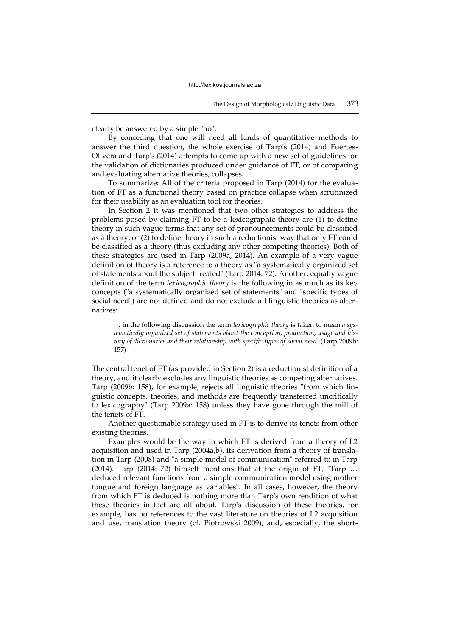clearly be answered by a simple "no".

By conceding that one will need all kinds of quantitative methods to answer the third question, the whole exercise of Tarp's (2014) and Fuertes-Olivera and Tarp's (2014) attempts to come up with a new set of guidelines for the validation of dictionaries produced under guidance of FT, or of comparing and evaluating alternative theories, collapses.

To summarize: All of the criteria proposed in Tarp (2014) for the evaluation of FT as a functional theory based on practice collapse when scrutinized for their usability as an evaluation tool for theories.

In Section 2 it was mentioned that two other strategies to address the problems posed by claiming FT to be a lexicographic theory are (1) to define theory in such vague terms that any set of pronouncements could be classified as a theory, or (2) to define theory in such a reductionist way that only FT could be classified as a theory (thus excluding any other competing theories). Both of these strategies are used in Tarp (2009a, 2014). An example of a very vague definition of theory is a reference to a theory as "a systematically organized set of statements about the subject treated" (Tarp 2014: 72). Another, equally vague definition of the term *lexicographic theory* is the following in as much as its key concepts ("a systematically organized set of statements" and "specific types of social need") are not defined and do not exclude all linguistic theories as alternatives:

… in the following discussion the term *lexicographic theory* is taken to mean *a systematically organized set of statements about the conception, production, usage and history of dictionaries and their relationship with specific types of social need.* (Tarp 2009b: 157)

The central tenet of FT (as provided in Section 2) is a reductionist definition of a theory, and it clearly excludes any linguistic theories as competing alternatives. Tarp (2009b: 158), for example, rejects all linguistic theories "from which linguistic concepts, theories, and methods are frequently transferred uncritically to lexicography" (Tarp 2009a: 158) unless they have gone through the mill of the tenets of FT.

Another questionable strategy used in FT is to derive its tenets from other existing theories.

Examples would be the way in which FT is derived from a theory of L2 acquisition and used in Tarp (2004a,b), its derivation from a theory of translation in Tarp (2008) and "a simple model of communication" referred to in Tarp (2014). Tarp (2014: 72) himself mentions that at the origin of FT, "Tarp … deduced relevant functions from a simple communication model using mother tongue and foreign language as variables". In all cases, however, the theory from which FT is deduced is nothing more than Tarp's own rendition of what these theories in fact are all about. Tarp's discussion of these theories, for example, has no references to the vast literature on theories of L2 acquisition and use, translation theory (cf. Piotrowski 2009), and, especially, the short-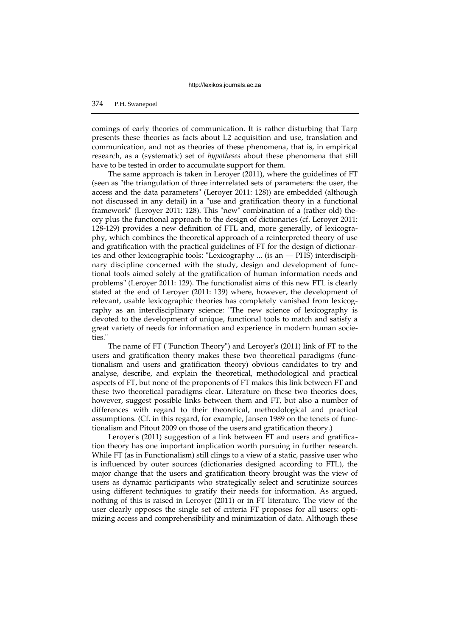comings of early theories of communication. It is rather disturbing that Tarp presents these theories as facts about L2 acquisition and use, translation and communication, and not as theories of these phenomena, that is, in empirical research, as a (systematic) set of *hypotheses* about these phenomena that still have to be tested in order to accumulate support for them.

The same approach is taken in Leroyer (2011), where the guidelines of FT (seen as "the triangulation of three interrelated sets of parameters: the user, the access and the data parameters" (Leroyer 2011: 128)) are embedded (although not discussed in any detail) in a "use and gratification theory in a functional framework" (Leroyer 2011: 128). This "new" combination of a (rather old) theory plus the functional approach to the design of dictionaries (cf. Leroyer 2011: 128-129) provides a new definition of FTL and, more generally, of lexicography, which combines the theoretical approach of a reinterpreted theory of use and gratification with the practical guidelines of FT for the design of dictionaries and other lexicographic tools: "Lexicography ... (is an — PHS) interdisciplinary discipline concerned with the study, design and development of functional tools aimed solely at the gratification of human information needs and problems" (Leroyer 2011: 129). The functionalist aims of this new FTL is clearly stated at the end of Leroyer (2011: 139) where, however, the development of relevant, usable lexicographic theories has completely vanished from lexicography as an interdisciplinary science: "The new science of lexicography is devoted to the development of unique, functional tools to match and satisfy a great variety of needs for information and experience in modern human societies."

The name of FT ("Function Theory") and Leroyer's (2011) link of FT to the users and gratification theory makes these two theoretical paradigms (functionalism and users and gratification theory) obvious candidates to try and analyse, describe, and explain the theoretical, methodological and practical aspects of FT, but none of the proponents of FT makes this link between FT and these two theoretical paradigms clear. Literature on these two theories does, however, suggest possible links between them and FT, but also a number of differences with regard to their theoretical, methodological and practical assumptions. (Cf. in this regard, for example, Jansen 1989 on the tenets of functionalism and Pitout 2009 on those of the users and gratification theory.)

Leroyer's (2011) suggestion of a link between FT and users and gratification theory has one important implication worth pursuing in further research. While FT (as in Functionalism) still clings to a view of a static, passive user who is influenced by outer sources (dictionaries designed according to FTL), the major change that the users and gratification theory brought was the view of users as dynamic participants who strategically select and scrutinize sources using different techniques to gratify their needs for information. As argued, nothing of this is raised in Leroyer (2011) or in FT literature. The view of the user clearly opposes the single set of criteria FT proposes for all users: optimizing access and comprehensibility and minimization of data. Although these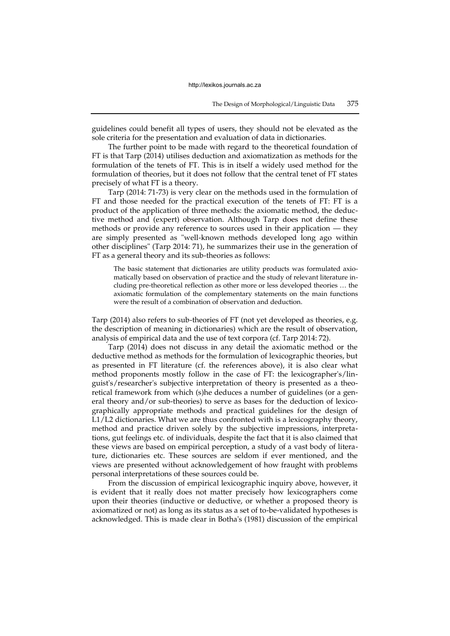guidelines could benefit all types of users, they should not be elevated as the sole criteria for the presentation and evaluation of data in dictionaries.

The further point to be made with regard to the theoretical foundation of FT is that Tarp (2014) utilises deduction and axiomatization as methods for the formulation of the tenets of FT. This is in itself a widely used method for the formulation of theories, but it does not follow that the central tenet of FT states precisely of what FT is a theory.

Tarp (2014: 71-73) is very clear on the methods used in the formulation of FT and those needed for the practical execution of the tenets of FT: FT is a product of the application of three methods: the axiomatic method, the deductive method and (expert) observation. Although Tarp does not define these methods or provide any reference to sources used in their application — they are simply presented as "well-known methods developed long ago within other disciplines" (Tarp 2014: 71), he summarizes their use in the generation of FT as a general theory and its sub-theories as follows:

The basic statement that dictionaries are utility products was formulated axiomatically based on observation of practice and the study of relevant literature including pre-theoretical reflection as other more or less developed theories … the axiomatic formulation of the complementary statements on the main functions were the result of a combination of observation and deduction.

Tarp (2014) also refers to sub-theories of FT (not yet developed as theories, e.g. the description of meaning in dictionaries) which are the result of observation, analysis of empirical data and the use of text corpora (cf. Tarp 2014: 72).

Tarp (2014) does not discuss in any detail the axiomatic method or the deductive method as methods for the formulation of lexicographic theories, but as presented in FT literature (cf. the references above), it is also clear what method proponents mostly follow in the case of FT: the lexicographer's/linguist's/researcher's subjective interpretation of theory is presented as a theoretical framework from which (s)he deduces a number of guidelines (or a general theory and/or sub-theories) to serve as bases for the deduction of lexicographically appropriate methods and practical guidelines for the design of L1/L2 dictionaries. What we are thus confronted with is a lexicography theory, method and practice driven solely by the subjective impressions, interpretations, gut feelings etc. of individuals, despite the fact that it is also claimed that these views are based on empirical perception, a study of a vast body of literature, dictionaries etc. These sources are seldom if ever mentioned, and the views are presented without acknowledgement of how fraught with problems personal interpretations of these sources could be.

From the discussion of empirical lexicographic inquiry above, however, it is evident that it really does not matter precisely how lexicographers come upon their theories (inductive or deductive, or whether a proposed theory is axiomatized or not) as long as its status as a set of to-be-validated hypotheses is acknowledged. This is made clear in Botha's (1981) discussion of the empirical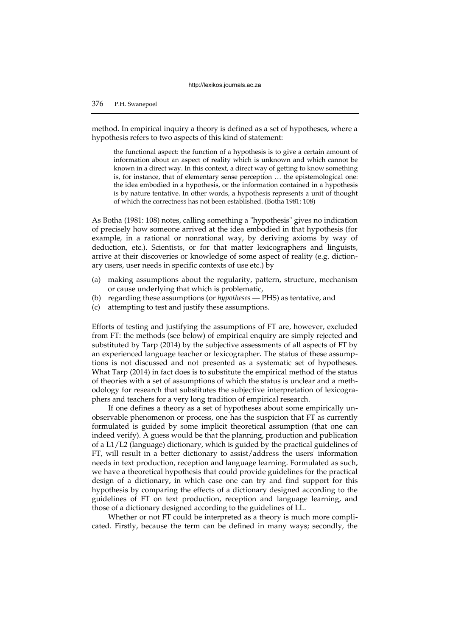method. In empirical inquiry a theory is defined as a set of hypotheses, where a hypothesis refers to two aspects of this kind of statement:

the functional aspect: the function of a hypothesis is to give a certain amount of information about an aspect of reality which is unknown and which cannot be known in a direct way. In this context, a direct way of getting to know something is, for instance, that of elementary sense perception … the epistemological one: the idea embodied in a hypothesis, or the information contained in a hypothesis is by nature tentative. In other words, a hypothesis represents a unit of thought of which the correctness has not been established. (Botha 1981: 108)

As Botha (1981: 108) notes, calling something a "hypothesis" gives no indication of precisely how someone arrived at the idea embodied in that hypothesis (for example, in a rational or nonrational way, by deriving axioms by way of deduction, etc.). Scientists, or for that matter lexicographers and linguists, arrive at their discoveries or knowledge of some aspect of reality (e.g. dictionary users, user needs in specific contexts of use etc.) by

- (a) making assumptions about the regularity, pattern, structure, mechanism or cause underlying that which is problematic,
- (b) regarding these assumptions (or *hypotheses*  PHS) as tentative, and
- (c) attempting to test and justify these assumptions.

Efforts of testing and justifying the assumptions of FT are, however, excluded from FT: the methods (see below) of empirical enquiry are simply rejected and substituted by Tarp (2014) by the subjective assessments of all aspects of FT by an experienced language teacher or lexicographer. The status of these assumptions is not discussed and not presented as a systematic set of hypotheses. What Tarp (2014) in fact does is to substitute the empirical method of the status of theories with a set of assumptions of which the status is unclear and a methodology for research that substitutes the subjective interpretation of lexicographers and teachers for a very long tradition of empirical research.

If one defines a theory as a set of hypotheses about some empirically unobservable phenomenon or process, one has the suspicion that FT as currently formulated is guided by some implicit theoretical assumption (that one can indeed verify). A guess would be that the planning, production and publication of a L1/L2 (language) dictionary, which is guided by the practical guidelines of FT, will result in a better dictionary to assist/address the users' information needs in text production, reception and language learning. Formulated as such, we have a theoretical hypothesis that could provide guidelines for the practical design of a dictionary, in which case one can try and find support for this hypothesis by comparing the effects of a dictionary designed according to the guidelines of FT on text production, reception and language learning, and those of a dictionary designed according to the guidelines of LL.

Whether or not FT could be interpreted as a theory is much more complicated. Firstly, because the term can be defined in many ways; secondly, the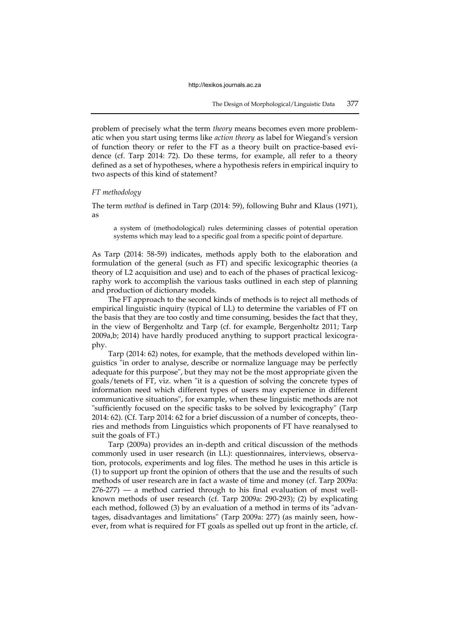problem of precisely what the term *theory* means becomes even more problematic when you start using terms like *action theory* as label for Wiegand's version of function theory or refer to the FT as a theory built on practice-based evidence (cf. Tarp 2014: 72). Do these terms, for example, all refer to a theory defined as a set of hypotheses, where a hypothesis refers in empirical inquiry to two aspects of this kind of statement?

#### *FT methodology*

The term *method* is defined in Tarp (2014: 59), following Buhr and Klaus (1971), as

a system of (methodological) rules determining classes of potential operation systems which may lead to a specific goal from a specific point of departure.

As Tarp (2014: 58-59) indicates, methods apply both to the elaboration and formulation of the general (such as FT) and specific lexicographic theories (a theory of L2 acquisition and use) and to each of the phases of practical lexicography work to accomplish the various tasks outlined in each step of planning and production of dictionary models.

The FT approach to the second kinds of methods is to reject all methods of empirical linguistic inquiry (typical of LL) to determine the variables of FT on the basis that they are too costly and time consuming, besides the fact that they, in the view of Bergenholtz and Tarp (cf. for example, Bergenholtz 2011; Tarp 2009a,b; 2014) have hardly produced anything to support practical lexicography.

Tarp (2014: 62) notes, for example, that the methods developed within linguistics "in order to analyse, describe or normalize language may be perfectly adequate for this purpose", but they may not be the most appropriate given the goals/tenets of FT, viz. when "it is a question of solving the concrete types of information need which different types of users may experience in different communicative situations", for example, when these linguistic methods are not "sufficiently focused on the specific tasks to be solved by lexicography" (Tarp 2014: 62). (Cf. Tarp 2014: 62 for a brief discussion of a number of concepts, theories and methods from Linguistics which proponents of FT have reanalysed to suit the goals of FT.)

Tarp (2009a) provides an in-depth and critical discussion of the methods commonly used in user research (in LL): questionnaires, interviews, observation, protocols, experiments and log files. The method he uses in this article is (1) to support up front the opinion of others that the use and the results of such methods of user research are in fact a waste of time and money (cf. Tarp 2009a:  $276-277$  — a method carried through to his final evaluation of most wellknown methods of user research (cf. Tarp 2009a: 290-293); (2) by explicating each method, followed (3) by an evaluation of a method in terms of its "advantages, disadvantages and limitations" (Tarp 2009a: 277) (as mainly seen, however, from what is required for FT goals as spelled out up front in the article, cf.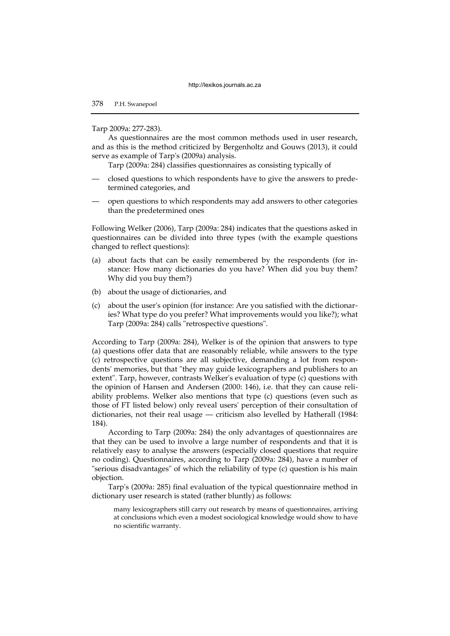#### Tarp 2009a: 277-283).

As questionnaires are the most common methods used in user research, and as this is the method criticized by Bergenholtz and Gouws (2013), it could serve as example of Tarp's (2009a) analysis.

Tarp (2009a: 284) classifies questionnaires as consisting typically of

- closed questions to which respondents have to give the answers to predetermined categories, and
- open questions to which respondents may add answers to other categories than the predetermined ones

Following Welker (2006), Tarp (2009a: 284) indicates that the questions asked in questionnaires can be divided into three types (with the example questions changed to reflect questions):

- (a) about facts that can be easily remembered by the respondents (for instance: How many dictionaries do you have? When did you buy them? Why did you buy them?)
- (b) about the usage of dictionaries, and
- (c) about the user's opinion (for instance: Are you satisfied with the dictionaries? What type do you prefer? What improvements would you like?); what Tarp (2009a: 284) calls "retrospective questions".

According to Tarp (2009a: 284), Welker is of the opinion that answers to type (a) questions offer data that are reasonably reliable, while answers to the type (c) retrospective questions are all subjective, demanding a lot from respondents' memories, but that "they may guide lexicographers and publishers to an extent". Tarp, however, contrasts Welker's evaluation of type (c) questions with the opinion of Hansen and Andersen (2000: 146), i.e. that they can cause reliability problems. Welker also mentions that type (c) questions (even such as those of FT listed below) only reveal users' perception of their consultation of dictionaries, not their real usage — criticism also levelled by Hatherall (1984: 184).

According to Tarp (2009a: 284) the only advantages of questionnaires are that they can be used to involve a large number of respondents and that it is relatively easy to analyse the answers (especially closed questions that require no coding). Questionnaires, according to Tarp (2009a: 284), have a number of "serious disadvantages" of which the reliability of type (c) question is his main objection.

Tarp's (2009a: 285) final evaluation of the typical questionnaire method in dictionary user research is stated (rather bluntly) as follows:

many lexicographers still carry out research by means of questionnaires, arriving at conclusions which even a modest sociological knowledge would show to have no scientific warranty.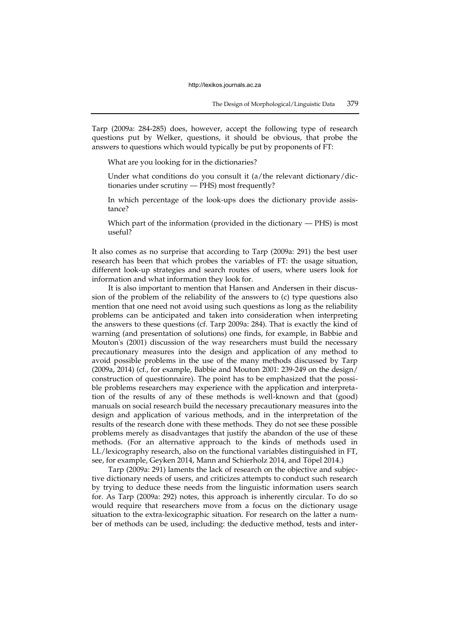Tarp (2009a: 284-285) does, however, accept the following type of research questions put by Welker, questions, it should be obvious, that probe the answers to questions which would typically be put by proponents of FT:

What are you looking for in the dictionaries?

Under what conditions do you consult it (a/the relevant dictionary/dictionaries under scrutiny — PHS) most frequently?

In which percentage of the look-ups does the dictionary provide assistance?

Which part of the information (provided in the dictionary — PHS) is most useful?

It also comes as no surprise that according to Tarp (2009a: 291) the best user research has been that which probes the variables of FT: the usage situation, different look-up strategies and search routes of users, where users look for information and what information they look for.

It is also important to mention that Hansen and Andersen in their discussion of the problem of the reliability of the answers to (c) type questions also mention that one need not avoid using such questions as long as the reliability problems can be anticipated and taken into consideration when interpreting the answers to these questions (cf. Tarp 2009a: 284). That is exactly the kind of warning (and presentation of solutions) one finds, for example, in Babbie and Mouton's (2001) discussion of the way researchers must build the necessary precautionary measures into the design and application of any method to avoid possible problems in the use of the many methods discussed by Tarp (2009a, 2014) (cf., for example, Babbie and Mouton 2001: 239-249 on the design/ construction of questionnaire). The point has to be emphasized that the possible problems researchers may experience with the application and interpretation of the results of any of these methods is well-known and that (good) manuals on social research build the necessary precautionary measures into the design and application of various methods, and in the interpretation of the results of the research done with these methods. They do not see these possible problems merely as disadvantages that justify the abandon of the use of these methods. (For an alternative approach to the kinds of methods used in LL/lexicography research, also on the functional variables distinguished in FT, see, for example, Geyken 2014, Mann and Schierholz 2014, and Töpel 2014.)

Tarp (2009a: 291) laments the lack of research on the objective and subjective dictionary needs of users, and criticizes attempts to conduct such research by trying to deduce these needs from the linguistic information users search for. As Tarp (2009a: 292) notes, this approach is inherently circular. To do so would require that researchers move from a focus on the dictionary usage situation to the extra-lexicographic situation. For research on the latter a number of methods can be used, including: the deductive method, tests and inter-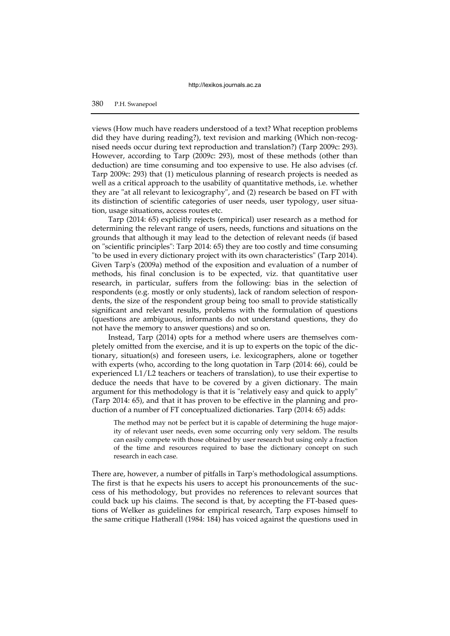## 380 P.H. Swanepoel

views (How much have readers understood of a text? What reception problems did they have during reading?), text revision and marking (Which non-recognised needs occur during text reproduction and translation?) (Tarp 2009c: 293). However, according to Tarp (2009c: 293), most of these methods (other than deduction) are time consuming and too expensive to use. He also advises (cf. Tarp 2009c: 293) that (1) meticulous planning of research projects is needed as well as a critical approach to the usability of quantitative methods, i.e. whether they are "at all relevant to lexicography", and (2) research be based on FT with its distinction of scientific categories of user needs, user typology, user situation, usage situations, access routes etc.

Tarp (2014: 65) explicitly rejects (empirical) user research as a method for determining the relevant range of users, needs, functions and situations on the grounds that although it may lead to the detection of relevant needs (if based on "scientific principles": Tarp 2014: 65) they are too costly and time consuming "to be used in every dictionary project with its own characteristics" (Tarp 2014). Given Tarp's (2009a) method of the exposition and evaluation of a number of methods, his final conclusion is to be expected, viz. that quantitative user research, in particular, suffers from the following: bias in the selection of respondents (e.g. mostly or only students), lack of random selection of respondents, the size of the respondent group being too small to provide statistically significant and relevant results, problems with the formulation of questions (questions are ambiguous, informants do not understand questions, they do not have the memory to answer questions) and so on.

Instead, Tarp (2014) opts for a method where users are themselves completely omitted from the exercise, and it is up to experts on the topic of the dictionary, situation(s) and foreseen users, i.e. lexicographers, alone or together with experts (who, according to the long quotation in Tarp (2014: 66), could be experienced L1/L2 teachers or teachers of translation), to use their expertise to deduce the needs that have to be covered by a given dictionary. The main argument for this methodology is that it is "relatively easy and quick to apply" (Tarp 2014: 65), and that it has proven to be effective in the planning and production of a number of FT conceptualized dictionaries. Tarp (2014: 65) adds:

The method may not be perfect but it is capable of determining the huge majority of relevant user needs, even some occurring only very seldom. The results can easily compete with those obtained by user research but using only a fraction of the time and resources required to base the dictionary concept on such research in each case.

There are, however, a number of pitfalls in Tarp's methodological assumptions. The first is that he expects his users to accept his pronouncements of the success of his methodology, but provides no references to relevant sources that could back up his claims. The second is that, by accepting the FT-based questions of Welker as guidelines for empirical research, Tarp exposes himself to the same critique Hatherall (1984: 184) has voiced against the questions used in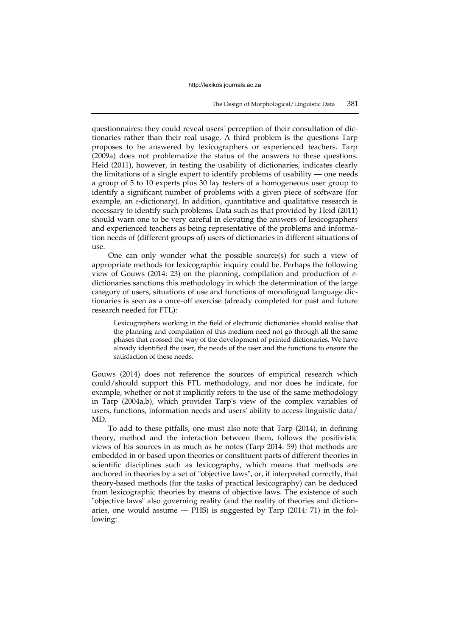questionnaires: they could reveal users' perception of their consultation of dictionaries rather than their real usage. A third problem is the questions Tarp proposes to be answered by lexicographers or experienced teachers. Tarp (2009a) does not problematize the status of the answers to these questions. Heid (2011), however, in testing the usability of dictionaries, indicates clearly the limitations of a single expert to identify problems of usability — one needs a group of 5 to 10 experts plus 30 lay testers of a homogeneous user group to identify a significant number of problems with a given piece of software (for example, an *e*-dictionary). In addition, quantitative and qualitative research is necessary to identify such problems. Data such as that provided by Heid (2011) should warn one to be very careful in elevating the answers of lexicographers and experienced teachers as being representative of the problems and information needs of (different groups of) users of dictionaries in different situations of use.

One can only wonder what the possible source(s) for such a view of appropriate methods for lexicographic inquiry could be. Perhaps the following view of Gouws (2014: 23) on the planning, compilation and production of *e*dictionaries sanctions this methodology in which the determination of the large category of users, situations of use and functions of monolingual language dictionaries is seen as a once-off exercise (already completed for past and future research needed for FTL):

Lexicographers working in the field of electronic dictionaries should realise that the planning and compilation of this medium need not go through all the same phases that crossed the way of the development of printed dictionaries. We have already identified the user, the needs of the user and the functions to ensure the satisfaction of these needs.

Gouws (2014) does not reference the sources of empirical research which could/should support this FTL methodology, and nor does he indicate, for example, whether or not it implicitly refers to the use of the same methodology in Tarp (2004a,b), which provides Tarp's view of the complex variables of users, functions, information needs and users' ability to access linguistic data/ MD.

To add to these pitfalls, one must also note that Tarp (2014), in defining theory, method and the interaction between them, follows the positivistic views of his sources in as much as he notes (Tarp 2014: 59) that methods are embedded in or based upon theories or constituent parts of different theories in scientific disciplines such as lexicography, which means that methods are anchored in theories by a set of "objective laws", or, if interpreted correctly, that theory-based methods (for the tasks of practical lexicography) can be deduced from lexicographic theories by means of objective laws. The existence of such "objective laws" also governing reality (and the reality of theories and dictionaries, one would assume  $-$  PHS) is suggested by Tarp (2014: 71) in the following: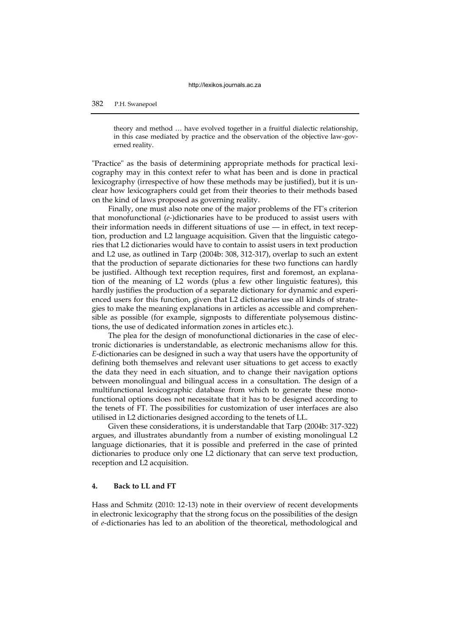# 382 P.H. Swanepoel

theory and method … have evolved together in a fruitful dialectic relationship, in this case mediated by practice and the observation of the objective law-governed reality.

"Practice" as the basis of determining appropriate methods for practical lexicography may in this context refer to what has been and is done in practical lexicography (irrespective of how these methods may be justified), but it is unclear how lexicographers could get from their theories to their methods based on the kind of laws proposed as governing reality.

Finally, one must also note one of the major problems of the FT's criterion that monofunctional (*e*-)dictionaries have to be produced to assist users with their information needs in different situations of use — in effect, in text reception, production and L2 language acquisition. Given that the linguistic categories that L2 dictionaries would have to contain to assist users in text production and L2 use, as outlined in Tarp (2004b: 308, 312-317), overlap to such an extent that the production of separate dictionaries for these two functions can hardly be justified. Although text reception requires, first and foremost, an explanation of the meaning of L2 words (plus a few other linguistic features), this hardly justifies the production of a separate dictionary for dynamic and experienced users for this function, given that L2 dictionaries use all kinds of strategies to make the meaning explanations in articles as accessible and comprehensible as possible (for example, signposts to differentiate polysemous distinctions, the use of dedicated information zones in articles etc.).

The plea for the design of monofunctional dictionaries in the case of electronic dictionaries is understandable, as electronic mechanisms allow for this. *E*-dictionaries can be designed in such a way that users have the opportunity of defining both themselves and relevant user situations to get access to exactly the data they need in each situation, and to change their navigation options between monolingual and bilingual access in a consultation. The design of a multifunctional lexicographic database from which to generate these monofunctional options does not necessitate that it has to be designed according to the tenets of FT. The possibilities for customization of user interfaces are also utilised in L2 dictionaries designed according to the tenets of LL.

Given these considerations, it is understandable that Tarp (2004b: 317-322) argues, and illustrates abundantly from a number of existing monolingual L2 language dictionaries, that it is possible and preferred in the case of printed dictionaries to produce only one L2 dictionary that can serve text production, reception and L2 acquisition.

# **4. Back to LL and FT**

Hass and Schmitz (2010: 12-13) note in their overview of recent developments in electronic lexicography that the strong focus on the possibilities of the design of *e*-dictionaries has led to an abolition of the theoretical, methodological and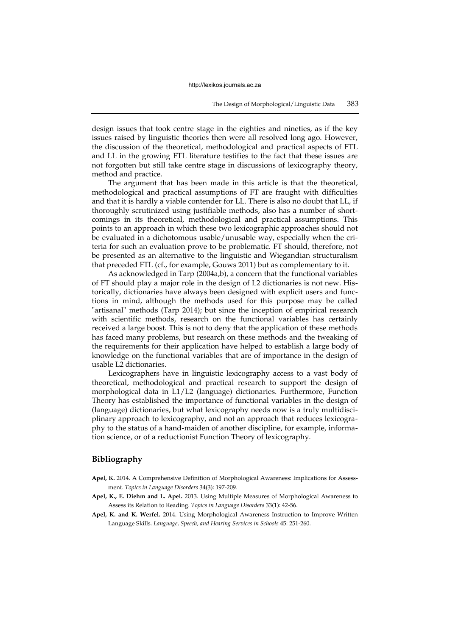design issues that took centre stage in the eighties and nineties, as if the key issues raised by linguistic theories then were all resolved long ago. However, the discussion of the theoretical, methodological and practical aspects of FTL and LL in the growing FTL literature testifies to the fact that these issues are not forgotten but still take centre stage in discussions of lexicography theory, method and practice.

The argument that has been made in this article is that the theoretical, methodological and practical assumptions of FT are fraught with difficulties and that it is hardly a viable contender for LL. There is also no doubt that LL, if thoroughly scrutinized using justifiable methods, also has a number of shortcomings in its theoretical, methodological and practical assumptions. This points to an approach in which these two lexicographic approaches should not be evaluated in a dichotomous usable/unusable way, especially when the criteria for such an evaluation prove to be problematic. FT should, therefore, not be presented as an alternative to the linguistic and Wiegandian structuralism that preceded FTL (cf., for example, Gouws 2011) but as complementary to it.

As acknowledged in Tarp (2004a,b), a concern that the functional variables of FT should play a major role in the design of L2 dictionaries is not new. Historically, dictionaries have always been designed with explicit users and functions in mind, although the methods used for this purpose may be called "artisanal" methods (Tarp 2014); but since the inception of empirical research with scientific methods, research on the functional variables has certainly received a large boost. This is not to deny that the application of these methods has faced many problems, but research on these methods and the tweaking of the requirements for their application have helped to establish a large body of knowledge on the functional variables that are of importance in the design of usable L2 dictionaries.

Lexicographers have in linguistic lexicography access to a vast body of theoretical, methodological and practical research to support the design of morphological data in L1/L2 (language) dictionaries. Furthermore, Function Theory has established the importance of functional variables in the design of (language) dictionaries, but what lexicography needs now is a truly multidisciplinary approach to lexicography, and not an approach that reduces lexicography to the status of a hand-maiden of another discipline, for example, information science, or of a reductionist Function Theory of lexicography.

# **Bibliography**

- **Apel, K.** 2014. A Comprehensive Definition of Morphological Awareness: Implications for Assessment. *Topics in Language Disorders* 34(3): 197-209.
- **Apel, K., E. Diehm and L. Apel.** 2013. Using Multiple Measures of Morphological Awareness to Assess its Relation to Reading. *Topics in Language Disorders* 33(1): 42-56.
- **Apel, K. and K. Werfel.** 2014. Using Morphological Awareness Instruction to Improve Written Language Skills. *Language, Speech, and Hearing Services in Schools* 45: 251-260.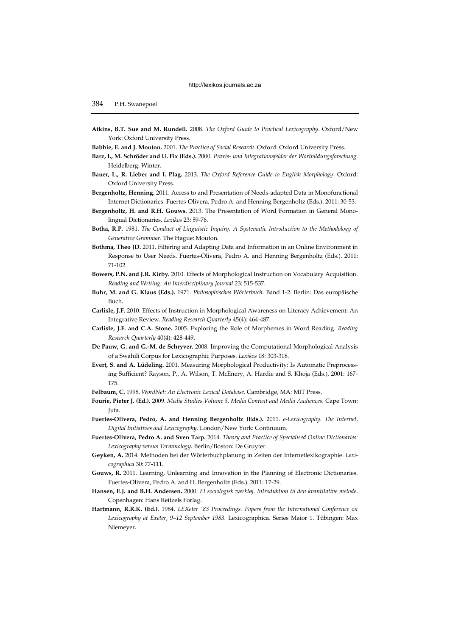- **Atkins, B.T. Sue and M. Rundell.** 2008. *The Oxford Guide to Practical Lexicography*. Oxford/New York: Oxford University Press.
- **Babbie, E. and J. Mouton.** 2001. *The Practice of Social Research*. Oxford: Oxford University Press.
- **Barz, I., M. Schröder and U. Fix (Eds.).** 2000. *Praxis- und Integrationsfelder der Wortbildungsforschung.* Heidelberg: Winter.
- **Bauer, L., R. Lieber and I. Plag.** 2013. *The Oxford Reference Guide to English Morphology*. Oxford: Oxford University Press.
- **Bergenholtz, Henning.** 2011. Access to and Presentation of Needs-adapted Data in Monofunctional Internet Dictionaries. Fuertes-Olivera, Pedro A. and Henning Bergenholtz (Eds.). 2011: 30-53.
- **Bergenholtz, H. and R.H. Gouws.** 2013. The Presentation of Word Formation in General Monolingual Dictionaries. *Lexikos* 23: 59-76.
- **Botha, R.P.** 1981. *The Conduct of Linguistic Inquiry. A Systematic Introduction to the Methodology of Generative Grammar.* The Hague: Mouton.
- **Bothma, Theo JD.** 2011. Filtering and Adapting Data and Information in an Online Environment in Response to User Needs. Fuertes-Olivera, Pedro A. and Henning Bergenholtz (Eds.). 2011: 71-102.
- **Bowers, P.N. and J.R. Kirby.** 2010. Effects of Morphological Instruction on Vocabulary Acquisition. *Reading and Writing: An Interdisciplinary Journal* 23: 515-537.
- **Buhr, M. and G. Klaus (Eds.).** 1971. *Philosophisches Wörterbuch*. Band 1-2. Berlin: Das europäische Buch.
- **Carlisle, J.F.** 2010. Effects of Instruction in Morphological Awareness on Literacy Achievement: An Integrative Review. *Reading Research Quarterly* 45(4): 464-487.
- **Carlisle, J.F. and C.A. Stone.** 2005. Exploring the Role of Morphemes in Word Reading. *Reading Research Quarterly* 40(4): 428-449.
- **De Pauw, G. and G.-M. de Schryver.** 2008. Improving the Computational Morphological Analysis of a Swahili Corpus for Lexicographic Purposes. *Lexikos* 18: 303-318.
- **Evert, S. and A. Lüdeling.** 2001. Measuring Morphological Productivity: Is Automatic Preprocessing Sufficient? Rayson, P., A. Wilson, T. McEnery, A. Hardie and S. Khoja (Eds.). 2001: 167- 175.
- **Felbaum, C.** 1998. *WordNet: An Electronic Lexical Database*. Cambridge, MA: MIT Press.
- **Fourie, Pieter J. (Ed.).** 2009. *Media Studies.Volume 3. Media Content and Media Audiences.* Cape Town: Juta.
- **Fuertes-Olivera, Pedro, A. and Henning Bergenholtz (Eds.).** 2011. *e-Lexicography. The Internet, Digital Initiatives and Lexicography*. London/New York: Continuum.
- **Fuertes-Olivera, Pedro A. and Sven Tarp.** 2014. *Theory and Practice of Specialised Online Dictionaries: Lexicography versus Terminology.* Berlin/Boston: De Gruyter.
- **Geyken, A.** 2014. Methoden bei der Wörterbuchplanung in Zeiten der Internetlexikographie. *Lexicographica* 30: 77-111.
- **Gouws, R.** 2011. Learning, Unlearning and Innovation in the Planning of Electronic Dictionaries. Fuertes-Olivera, Pedro A. and H. Bergenholtz (Eds.). 2011: 17-29.
- **Hansen, E.J. and B.H. Andersen.** 2000. *Et sociologisk værktøj. Introduktion til den kvantitative metode*. Copenhagen: Hans Reitzels Forlag.
- **Hartmann, R.R.K. (Ed.).** 1984. *LEXeter '83 Proceedings. Papers from the International Conference on Lexicography at Exeter, 9–12 September 1983.* Lexicographica. Series Maior 1. Tübingen: Max Niemeyer.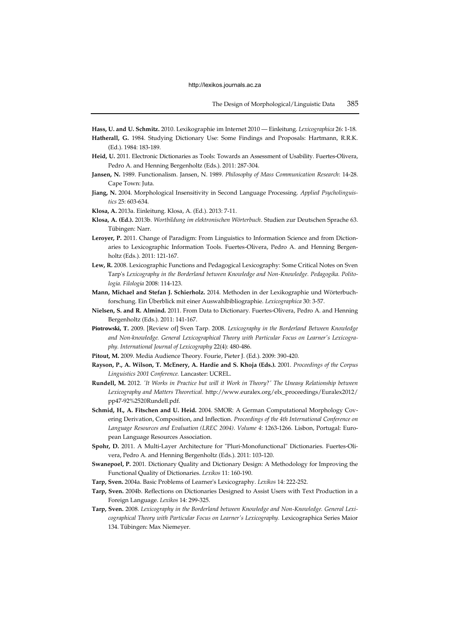**Hass, U. and U. Schmitz.** 2010. Lexikographie im Internet 2010 — Einleitung. *Lexicographica* 26: 1-18. **Hatherall, G.** 1984. Studying Dictionary Use: Some Findings and Proposals: Hartmann, R.R.K. (Ed.). 1984: 183-189.

- **Heid, U.** 2011. Electronic Dictionaries as Tools: Towards an Assessment of Usability. Fuertes-Olivera, Pedro A. and Henning Bergenholtz (Eds.). 2011: 287-304.
- **Jansen, N.** 1989. Functionalism. Jansen, N. 1989. *Philosophy of Mass Communication Research*: 14-28. Cape Town: Juta.
- **Jiang, N.** 2004. Morphological Insensitivity in Second Language Processing. *Applied Psycholinguistics* 25: 603-634.
- **Klosa, A.** 2013a. Einleitung. Klosa, A. (Ed.). 2013: 7-11.
- **Klosa, A. (Ed.).** 2013b. *Wortbildung im elektronischen Wörterbuch*. Studien zur Deutschen Sprache 63. Tübingen: Narr.
- **Leroyer, P.** 2011. Change of Paradigm: From Linguistics to Information Science and from Dictionaries to Lexicographic Information Tools. Fuertes-Olivera, Pedro A. and Henning Bergenholtz (Eds.). 2011: 121-167.
- **Lew, R.** 2008. Lexicographic Functions and Pedagogical Lexicography: Some Critical Notes on Sven Tarp's *Lexicography in the Borderland between Knowledge and Non-Knowledge. Pedagogika. Politologia. Filologia* 2008: 114-123.
- **Mann, Michael and Stefan J. Schierholz.** 2014. Methoden in der Lexikographie und Wörterbuchforschung. Ein Überblick mit einer Auswahlbibliographie. *Lexicographica* 30: 3-57.
- **Nielsen, S. and R. Almind.** 2011. From Data to Dictionary. Fuertes-Olivera, Pedro A. and Henning Bergenholtz (Eds.). 2011: 141-167.
- **Piotrowski, T.** 2009. [Review of] Sven Tarp. 2008. *Lexicography in the Borderland Between Knowledge and Non-knowledge. General Lexicographical Theory with Particular Focus on Learner's Lexicography. International Journal of Lexicography* 22(4): 480-486.
- **Pitout, M.** 2009. Media Audience Theory. Fourie, Pieter J. (Ed.). 2009: 390-420.
- **Rayson, P., A. Wilson, T. McEnery, A. Hardie and S. Khoja (Eds.).** 2001. *Proceedings of the Corpus Linguistics 2001 Conference.* Lancaster: UCREL.
- **Rundell, M.** 2012. *'It Works in Practice but will it Work in Theory?' The Uneasy Relationship between Lexicography and Matters Theoretical.* http://www.euralex.org/elx\_proceedings/Euralex2012/ pp47-92%2520Rundell.pdf.
- **Schmid, H., A. Fitschen and U. Heid.** 2004. SMOR: A German Computational Morphology Covering Derivation, Composition, and Inflection. *Proceedings of the 4th International Conference on Language Resources and Evaluation (LREC 2004)*. *Volume 4*: 1263-1266*.* Lisbon, Portugal: European Language Resources Association.
- **Spohr, D.** 2011. A Multi-Layer Architecture for "Pluri-Monofunctional" Dictionaries. Fuertes-Olivera, Pedro A. and Henning Bergenholtz (Eds.). 2011: 103-120.
- **Swanepoel, P.** 2001. Dictionary Quality and Dictionary Design: A Methodology for Improving the Functional Quality of Dictionaries. *Lexikos* 11: 160-190.
- **Tarp, Sven.** 2004a. Basic Problems of Learner's Lexicography. *Lexikos* 14: 222-252.
- **Tarp, Sven.** 2004b. Reflections on Dictionaries Designed to Assist Users with Text Production in a Foreign Language. *Lexikos* 14: 299-325.
- **Tarp, Sven.** 2008. *Lexicography in the Borderland between Knowledge and Non-Knowledge. General Lexicographical Theory with Particular Focus on Learner's Lexicography.* Lexicographica Series Maior 134. Tübingen: Max Niemeyer.